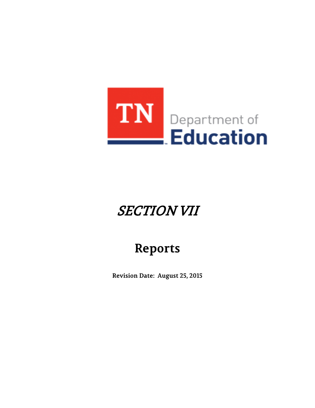

# SECTION VII

# **Reports**

**Revision Date: August 25, 2015**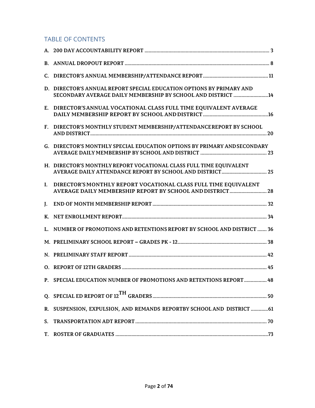# TABLE OF CONTENTS

|    | D. DIRECTOR'S ANNUAL REPORT SPECIAL EDUCATION OPTIONS BY PRIMARY AND<br>SECONDARY AVERAGE DAILY MEMBERSHIP BY SCHOOL AND DISTRICT 14 |  |
|----|--------------------------------------------------------------------------------------------------------------------------------------|--|
|    | E. DIRECTOR'S ANNUAL VOCATIONAL CLASS FULL TIME EQUIVALENT AVERAGE                                                                   |  |
|    | F. DIRECTOR'S MONTHLY STUDENT MEMBERSHIP/ATTENDANCE REPORT BY SCHOOL                                                                 |  |
|    | G. DIRECTOR'S MONTHLY SPECIAL EDUCATION OPTIONS BY PRIMARY AND SECONDARY                                                             |  |
|    | H. DIRECTOR'S MONTHLY REPORT VOCATIONAL CLASS FULL TIME EQUIVALENT                                                                   |  |
| L. | DIRECTOR'S MONTHLY REPORT VOCATIONAL CLASS FULL TIME EQUIVALENT<br>AVERAGE DAILY MEMBERSHIP REPORT BY SCHOOL AND DISTRICT 28         |  |
|    |                                                                                                                                      |  |
|    |                                                                                                                                      |  |
|    | L. NUMBER OF PROMOTIONS AND RETENTIONS REPORT BY SCHOOL AND DISTRICT  36                                                             |  |
|    |                                                                                                                                      |  |
|    |                                                                                                                                      |  |
|    |                                                                                                                                      |  |
|    | P. SPECIAL EDUCATION NUMBER OF PROMOTIONS AND RETENTIONS REPORT  48                                                                  |  |
|    |                                                                                                                                      |  |
|    | R. SUSPENSION, EXPULSION, AND REMANDS REPORTBY SCHOOL AND DISTRICT  61                                                               |  |
|    |                                                                                                                                      |  |
|    |                                                                                                                                      |  |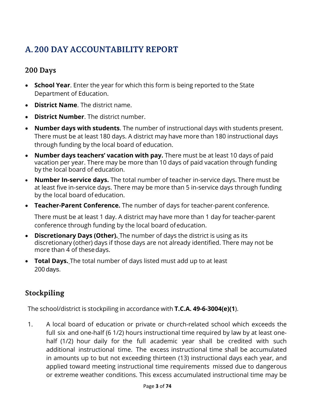# <span id="page-2-0"></span>**A. 200 DAY ACCOUNTABILITY REPORT**

# **200 Days**

- **School Year**. Enter the year for which this form is being reported to the State Department of Education.
- **District Name**. The district name.
- **District Number**. The district number.
- **Number days with students**. The number of instructional days with students present. There must be at least 180 days. A district may have more than 180 instructional days through funding by the local board of education.
- **Number days teachers' vacation with pay.** There must be at least 10 days of paid vacation per year. There may be more than 10 days of paid vacation through funding by the local board of education.
- **Number In-service days.** The total number of teacher in-service days. There must be at least five in-service days. There may be more than 5 in-service days through funding by the local board of education.
- **Teacher-Parent Conference.** The number of days for teacher-parent conference.

There must be at least 1 day. A district may have more than 1 day for teacher-parent conference through funding by the local board ofeducation.

- **Discretionary Days (Other).** The number of days the district is using as its discretionary (other) days if those days are not already identified. There may not be more than 4 of thesedays.
- **Total Days.** The total number of days listed must add up to at least 200 days.

# **Stockpiling**

The school/district is stockpiling in accordance with **T.C.A. 49-6-3004(e)(1**).

1. A local board of education or private or church-related school which exceeds the full six and one-half (6 1/2) hours instructional time required by law by at least onehalf (1/2) hour daily for the full academic year shall be credited with such additional instructional time. The excess instructional time shall be accumulated in amounts up to but not exceeding thirteen (13) instructional days each year, and applied toward meeting instructional time requirements missed due to dangerous or extreme weather conditions. This excess accumulated instructional time may be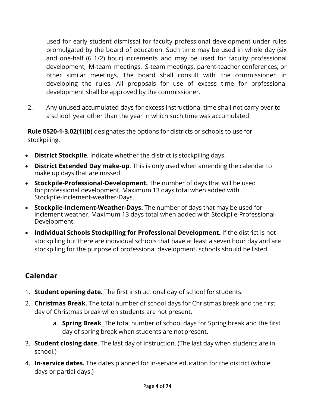used for early student dismissal for faculty professional development under rules promulgated by the board of education. Such time may be used in whole day (six and one-half (6 1/2) hour) increments and may be used for faculty professional development, M-team meetings, S-team meetings, parent-teacher conferences, or other similar meetings. The board shall consult with the commissioner in developing the rules. All proposals for use of excess time for professional development shall be approved by the commissioner.

2. Any unused accumulated days for excess instructional time shall not carry over to a school year other than the year in which such time was accumulated.

**Rule 0520-1-3.02(1)(b)** designates the options for districts or schools to use for stockpiling.

- **District Stockpile**. Indicate whether the district is stockpiling days.
- **District Extended Day make-up**. This is only used when amending the calendar to make up days that are missed.
- **Stockpile-Professional-Development.** The number of days that will be used for professional development. Maximum 13 days total when added with Stockpile-Inclement-weather-Days.
- **Stockpile-Inclement-Weather-Days.** The number of days that may be used for inclement weather. Maximum 13 days total when added with Stockpile-Professional-Development.
- **Individual Schools Stockpiling for Professional Development.** If the district is not stockpiling but there are individual schools that have at least a seven hour day and are stockpiling for the purpose of professional development, schools should be listed.

# **Calendar**

- 1. **Student opening date.** The first instructional day of school for students.
- 2. **Christmas Break.** The total number of school days for Christmas break and the first day of Christmas break when students are not present.
	- a. **Spring Break**. The total number of school days for Spring break and the first day of spring break when students are not present.
- 3. **Student closing date.** The last day of instruction. (The last day when students are in school.)
- 4. **In-service dates.** The dates planned for in-service education for the district (whole days or partial days.)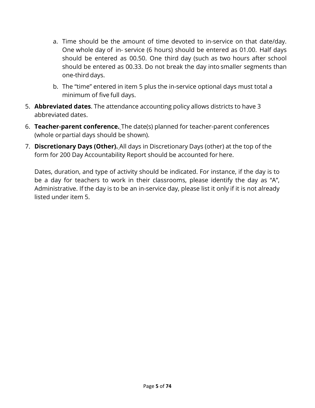- a. Time should be the amount of time devoted to in-service on that date/day. One whole day of in- service (6 hours) should be entered as 01.00. Half days should be entered as 00.50. One third day (such as two hours after school should be entered as 00.33. Do not break the day into smaller segments than one-third days.
- b. The "time" entered in item 5 plus the in-service optional days must total a minimum of five full days.
- 5. **Abbreviated dates**. The attendance accounting policy allows districts to have 3 abbreviated dates.
- 6. **Teacher-parent conference.** The date(s) planned for teacher-parent conferences (whole orpartial days should be shown).
- 7. **Discretionary Days (Other).** All days in Discretionary Days (other) at the top of the form for 200 Day Accountability Report should be accounted for here.

Dates, duration, and type of activity should be indicated. For instance, if the day is to be a day for teachers to work in their classrooms, please identify the day as "A", Administrative. If the day is to be an in-service day, please list it only if it is not already listed under item 5.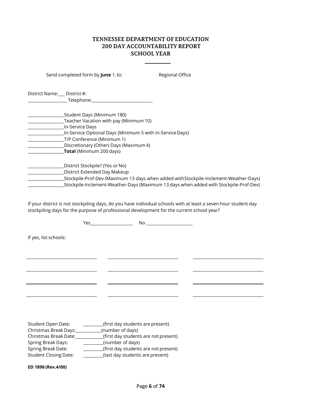#### **TENNESSEE DEPARTMENT OFEDUCATION 200 DAY ACCOUNTABILITY REPORT SCHOOL YEAR**

Send completed form by **June** 1, to: Regional Office

District Name: \_\_ District #:  $\blacksquare$  Telephone:  $\blacksquare$ 

| Student Days (Minimum 180)_                                                           |
|---------------------------------------------------------------------------------------|
| Teacher Vacation with pay (Minimum 10)                                                |
| In-Service Days                                                                       |
| In-Service Optional Days (Minimum 5 with In-Service Days)                             |
| T/P Conference (Minimum 1)                                                            |
| Discretionary (Other) Days (Maximum 4)                                                |
| <b>Total</b> (Minimum 200 days)                                                       |
| District Stockpile? (Yes or No)                                                       |
| District Extended Day Makeup                                                          |
| Stockpile-Prof-Dev (Maximum 13 days when added with Stockpile-Inclement-Weather-Days) |
| Stockpile-Inclement-Weather-Days (Maximum 13 days when added with Stockpile-Prof-Dev) |

If your district is not stockpiling days, do you have individual schools with at least a seven hour student day stockpiling days for the purpose of professional development for the current school year?

Yes \_ No If yes, list schools: <u> 2000 - John Stone, Amerikaans en Stone (</u>  $\overline{\phantom{0}}$  $\overline{\phantom{a}}$  $\mathcal{L}^{\text{max}}$  $\sim$  10  $\mu$ Student Open Date: (first day students are present)

| <b>SUGALITY OPCIT DULL.</b>  | This case stadents are present)      |
|------------------------------|--------------------------------------|
| Christmas Break Days:        | (number of days)                     |
| Christmas Break Date:        | (first day students are not present) |
| <b>Spring Break Days:</b>    | (number of days)                     |
| Spring Break Date:           | (first day students are not present) |
| <b>Student Closing Date:</b> | (last day students are present)      |

**ED 1896 (Rev.4/00)**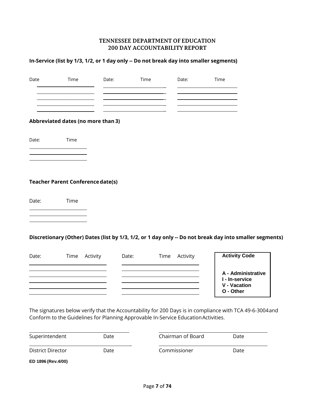#### **TENNESSEE DEPARTMENT OF EDUCATION 200 DAY ACCOUNTABILITY REPORT**

### **In-Service (list by 1/3, 1/2, or 1 day only -- Do not break day into smaller segments)**

| Date              | Time | Date:                                    | Time  |      | Date:                                                                              | Time                                                                                                     |
|-------------------|------|------------------------------------------|-------|------|------------------------------------------------------------------------------------|----------------------------------------------------------------------------------------------------------|
|                   |      |                                          |       |      |                                                                                    |                                                                                                          |
|                   |      | Abbreviated dates (no more than 3)       |       |      |                                                                                    |                                                                                                          |
| Date:             | Time |                                          |       |      |                                                                                    |                                                                                                          |
|                   |      |                                          |       |      |                                                                                    |                                                                                                          |
|                   |      | <b>Teacher Parent Conference date(s)</b> |       |      |                                                                                    |                                                                                                          |
| Date:             | Time |                                          |       |      |                                                                                    |                                                                                                          |
|                   |      |                                          |       |      |                                                                                    |                                                                                                          |
|                   |      |                                          |       |      |                                                                                    | Discretionary (Other) Dates (list by 1/3, 1/2, or 1 day only -- Do not break day into smaller segments)  |
| Date:             | Time | Activity                                 | Date: | Time | Activity                                                                           | <b>Activity Code</b>                                                                                     |
|                   |      |                                          |       |      |                                                                                    | A - Administrative<br>I - In-service<br><b>V</b> - Vacation<br>O - Other                                 |
|                   |      |                                          |       |      | Conform to the Guidelines for Planning Approvable In-Service Education Activities. | The signatures below verify that the Accountability for 200 Days is in compliance with TCA 49-6-3004 and |
| Superintendent    |      | Date                                     |       |      | Chairman of Board                                                                  | Date                                                                                                     |
| District Director |      | Date                                     |       |      | Commissioner                                                                       | Date                                                                                                     |

**ED 1896 (Rev.4/00)**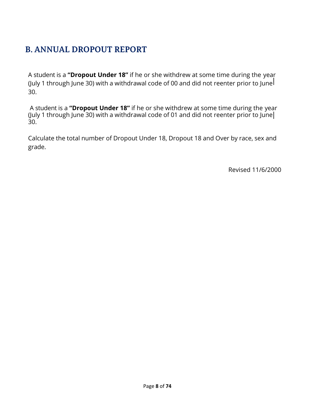# <span id="page-7-0"></span>**B. ANNUAL DROPOUT REPORT**

A student is a **"Dropout Under 18"** if he or she withdrew at some time during the year (July 1 through June 30) with a withdrawal code of 00 and did not reenter prior to June 30.

A student is a **"Dropout Under 18"** if he or she withdrew at some time during the year (July 1 through June 30) with a withdrawal code of 01 and did not reenter prior to June 30.

Calculate the total number of Dropout Under 18, Dropout 18 and Over by race, sex and grade.

Revised 11/6/2000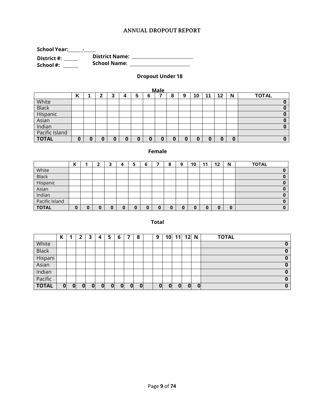#### **ANNUAL DROPOUT REPORT**

**School Year: - District #: School #: District Name: School Name:**

#### **Dropout Under 18**

| <b>Male</b>    |                                                                        |  |  |  |  |  |   |  |  |   |   |  |   |  |
|----------------|------------------------------------------------------------------------|--|--|--|--|--|---|--|--|---|---|--|---|--|
|                | <b>TOTAL</b><br>12<br>10<br>N<br>6<br>11<br>9<br>8<br>5<br>4<br>n<br>J |  |  |  |  |  |   |  |  |   |   |  |   |  |
| White          |                                                                        |  |  |  |  |  |   |  |  |   |   |  |   |  |
| <b>Black</b>   |                                                                        |  |  |  |  |  |   |  |  |   |   |  |   |  |
| Hispanic       |                                                                        |  |  |  |  |  |   |  |  |   |   |  |   |  |
| Asian          |                                                                        |  |  |  |  |  |   |  |  |   |   |  |   |  |
| Indian         |                                                                        |  |  |  |  |  |   |  |  |   |   |  |   |  |
| Pacific Island |                                                                        |  |  |  |  |  |   |  |  |   |   |  |   |  |
| <b>TOTAL</b>   |                                                                        |  |  |  |  |  | C |  |  | u | u |  | C |  |

#### **Female**

|                | ı<br>N |  | з | "  | ь | $\bullet$<br>ο | q | 10 | 11 | $12 \,$ | N | <b>TOTAL</b> |
|----------------|--------|--|---|----|---|----------------|---|----|----|---------|---|--------------|
| White          |        |  |   |    |   |                |   |    |    |         |   |              |
| <b>Black</b>   |        |  |   |    |   |                |   |    |    |         |   | 0            |
| Hispanic       |        |  |   |    |   |                |   |    |    |         |   |              |
| Asian          |        |  |   |    |   |                |   |    |    |         |   |              |
| Indian         |        |  |   |    |   |                |   |    |    |         |   | o            |
| Pacific Island |        |  |   |    |   |                |   |    |    |         |   |              |
| <b>TOTAL</b>   | 0      |  |   | ι. |   | u              | 0 |    |    |         | 0 |              |

#### **Total**

|              | Κ |   |   | 3        | Д | э | 6 |   | 8 | 9 | 10 <sub>1</sub> | 11 | 12           | N            | <b>TOTAL</b> |
|--------------|---|---|---|----------|---|---|---|---|---|---|-----------------|----|--------------|--------------|--------------|
| White        |   |   |   |          |   |   |   |   |   |   |                 |    |              |              | 0            |
| <b>Black</b> |   |   |   |          |   |   |   |   |   |   |                 |    |              |              | $\bf{0}$     |
| Hispani      |   |   |   |          |   |   |   |   |   |   |                 |    |              |              | 0            |
| Asian        |   |   |   |          |   |   |   |   |   |   |                 |    |              |              | 0            |
| Indian       |   |   |   |          |   |   |   |   |   |   |                 |    |              |              | 0            |
| Pacific      |   |   |   |          |   |   |   |   |   |   |                 |    |              |              | 0            |
| <b>TOTAL</b> | 0 | 0 | 0 | $\Omega$ | 0 | 0 | 0 | 0 | 0 | 0 | $\Omega$        | 0  | $\mathbf{0}$ | $\mathbf{0}$ | 0            |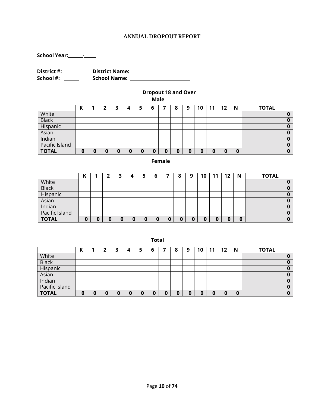#### **ANNUAL DROPOUT REPORT**

**School Year: -**

**District #: School #: District Name: School Name:**

#### **Dropout 18 and Over**

**Male**

|                | v<br>N |   |  | پ | 6 | o<br>o | 9 | 10 | م ا | 12 | N | <b>TOTAL</b> |
|----------------|--------|---|--|---|---|--------|---|----|-----|----|---|--------------|
| White          |        |   |  |   |   |        |   |    |     |    |   |              |
| <b>Black</b>   |        |   |  |   |   |        |   |    |     |    |   |              |
| Hispanic       |        |   |  |   |   |        |   |    |     |    |   |              |
| Asian          |        |   |  |   |   |        |   |    |     |    |   |              |
| Indian         |        |   |  |   |   |        |   |    |     |    |   |              |
| Pacific Island |        |   |  |   |   |        |   |    |     |    |   |              |
| <b>TOTAL</b>   | O      | 0 |  |   | 0 |        | U | 0  | w   |    | 0 |              |

#### **Female**

|                |    |  | э | 4 | ь |   | ο | О | 10 | 11 | $12 \,$ | N | <b>TOTAL</b> |
|----------------|----|--|---|---|---|---|---|---|----|----|---------|---|--------------|
| White          |    |  |   |   |   |   |   |   |    |    |         |   |              |
| <b>Black</b>   |    |  |   |   |   |   |   |   |    |    |         |   |              |
| Hispanic       |    |  |   |   |   |   |   |   |    |    |         |   |              |
| Asian          |    |  |   |   |   |   |   |   |    |    |         |   |              |
| Indian         |    |  |   |   |   |   |   |   |    |    |         |   |              |
| Pacific Island |    |  |   |   |   |   |   |   |    |    |         |   |              |
| <b>TOTAL</b>   | ч. |  | U |   |   | 0 |   |   |    | 0  | 0       |   |              |

**Total**

|                | v<br>N |  | 4 | э | b | 8 | Q | 10 | м | 12 | N | <b>TOTAL</b> |
|----------------|--------|--|---|---|---|---|---|----|---|----|---|--------------|
| White          |        |  |   |   |   |   |   |    |   |    |   |              |
| <b>Black</b>   |        |  |   |   |   |   |   |    |   |    |   |              |
| Hispanic       |        |  |   |   |   |   |   |    |   |    |   |              |
| Asian          |        |  |   |   |   |   |   |    |   |    |   |              |
| Indian         |        |  |   |   |   |   |   |    |   |    |   |              |
| Pacific Island |        |  |   |   |   |   |   |    |   |    |   |              |
| <b>TOTAL</b>   |        |  |   |   |   |   | Ψ |    |   |    |   |              |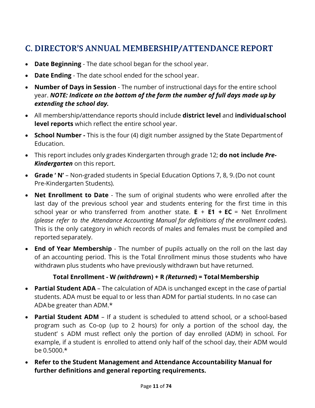# <span id="page-10-0"></span>**C. DIRECTOR'S ANNUAL MEMBERSHIP/ATTENDANCE REPORT**

- **Date Beginning**  The date school began for the school year.
- **Date Ending**  The date school ended for the school year.
- **Number of Days in Session**  The number of instructional days for the entire school year. *NOTE: Indicate on the bottom of the form the number of full days made up by extending the school day.*
- All membership/attendance reports should include **district level** and **individualschool level reports** which reflect the entire school year.
- **School Number -** This is the four (4) digit number assigned by the State Departmentof Education.
- This report includes only grades Kindergarten through grade 12; **do not include** *Pre-Kindergarten* on this report.
- **Grade ' N'**  Non-graded students in Special Education Options 7, 8, 9.(Do not count Pre-Kindergarten Students).
- **Net Enrollment to Date** The sum of original students who were enrolled after the last day of the previous school year and students entering for the first time in this school year or who transferred from another state. **E** + **E1 + EC** = Net Enrollment *(please refer to the Attendance Accounting Manual for definitions of the enrollment code*s). This is the only category in which records of males and females must be compiled and reported separately.
- **End of Year Membership** The number of pupils actually on the roll on the last day of an accounting period. This is the Total Enrollment minus those students who have withdrawn plus students who have previously withdrawn but have returned.

# **Total Enrollment - W** *(withdraw***n) + R** *(Returne***d) = TotalMembership**

- **Partial Student ADA**  The calculation of ADA is unchanged except in the case of partial students. ADA must be equal to or less than ADM for partial students. In no case can ADAbe greater than ADM.\*
- **Partial Student ADM**  If a student is scheduled to attend school, or a school-based program such as Co-op (up to 2 hours) for only a portion of the school day, the student' s ADM must reflect only the portion of day enrolled (ADM) in school. For example, if a student is enrolled to attend only half of the school day, their ADM would be 0.5000.\*
- **Refer to the Student Management and Attendance Accountability Manual for further definitions and general reporting requirements.**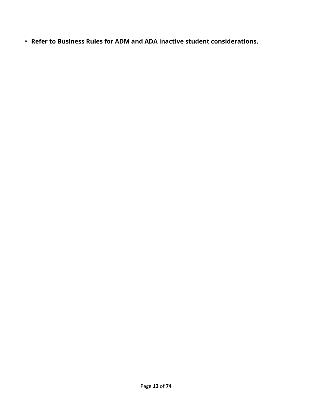**\* Refer to Business Rules for ADM and ADA inactive student considerations.**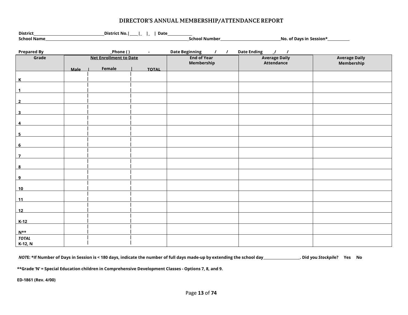#### **DIRECTOR'S ANNUAL MEMBERSHIP/ATTENDANCE REPORT**

| School Name             |      |                               |                 |                    |                      |                      |
|-------------------------|------|-------------------------------|-----------------|--------------------|----------------------|----------------------|
|                         |      |                               |                 |                    |                      |                      |
| <b>Prepared By</b>      |      |                               | _Phone ( )    - | Date Beginning / / | Date Ending / /      |                      |
| Grade                   |      | <b>Net Enrollment to Date</b> |                 | <b>End of Year</b> | <b>Average Daily</b> | <b>Average Daily</b> |
|                         |      |                               |                 | Membership         | <b>Attendance</b>    | Membership           |
|                         | Male | Female                        | <b>TOTAL</b>    |                    |                      |                      |
|                         |      |                               |                 |                    |                      |                      |
| $\mathsf{K}$            |      |                               |                 |                    |                      |                      |
| $\mathbf{1}$            |      |                               |                 |                    |                      |                      |
|                         |      |                               |                 |                    |                      |                      |
| $\overline{2}$          |      |                               |                 |                    |                      |                      |
|                         |      |                               |                 |                    |                      |                      |
| $\overline{\mathbf{3}}$ |      |                               |                 |                    |                      |                      |
|                         |      |                               |                 |                    |                      |                      |
| $\overline{\mathbf{4}}$ |      |                               |                 |                    |                      |                      |
| $\overline{\mathbf{5}}$ |      |                               |                 |                    |                      |                      |
|                         |      |                               |                 |                    |                      |                      |
| $6\overline{6}$         |      |                               |                 |                    |                      |                      |
|                         |      |                               |                 |                    |                      |                      |
| $\overline{1}$          |      |                               |                 |                    |                      |                      |
|                         |      |                               |                 |                    |                      |                      |
| $\overline{\mathbf{8}}$ |      |                               |                 |                    |                      |                      |
| $\overline{9}$          |      |                               |                 |                    |                      |                      |
|                         |      |                               |                 |                    |                      |                      |
| 10                      |      |                               |                 |                    |                      |                      |
|                         |      |                               |                 |                    |                      |                      |
| 11                      |      |                               |                 |                    |                      |                      |
|                         |      |                               |                 |                    |                      |                      |
| 12                      |      |                               |                 |                    |                      |                      |
| $K-12$                  |      |                               |                 |                    |                      |                      |
|                         |      |                               |                 |                    |                      |                      |
| $N^{\star\star}$        |      |                               |                 |                    |                      |                      |
| <b>TOTAL</b>            |      |                               |                 |                    |                      |                      |
| K-12, N                 |      |                               |                 |                    |                      |                      |

NOTE: \*If Number of Days in Session is < 180 days, indicate the number of full days made-up by extending the school day \_\_\_\_\_\_\_\_\_\_\_\_\_\_\_\_\_. Did you Stockpile? Yes No

**\*\*Grade 'N' = Special Education children in Comprehensive Development Classes - Options 7, 8, and 9.** 

**ED-1861 (Rev. 4/00)**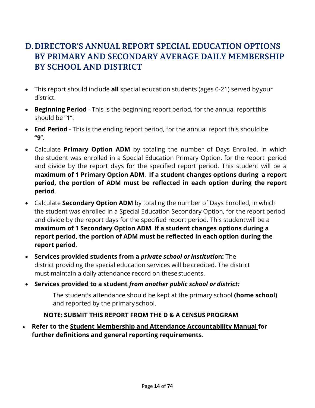# <span id="page-13-0"></span>**D.DIRECTOR'S ANNUAL REPORT SPECIAL EDUCATION OPTIONS BY PRIMARY AND SECONDARY AVERAGE DAILY MEMBERSHIP BY SCHOOL AND DISTRICT**

- This report should include **all** special education students (ages 0-21) served byyour district.
- **Beginning Period** This is the beginning report period, for the annual reportthis should be "1".
- **End Period** This is the ending report period, for the annual report this should be **"9**".
- Calculate **Primary Option ADM** by totaling the number of Days Enrolled, in which the student was enrolled in a Special Education Primary Option, for the report period and divide by the report days for the specified report period. This student will be a **maximum of 1 Primary Option ADM**. **If a student changes options during a report period, the portion of ADM must be reflected in each option during the report period**.
- Calculate **Secondary Option ADM** by totaling the number of Days Enrolled, in which the student was enrolled in a Special Education Secondary Option, for the report period and divide by the report days for the specified report period. This studentwill be a **maximum of 1 Secondary Option ADM**. **If a student changes options during a report period, the portion of ADM must be reflected in each option during the report period**.
- **Services provided students from a** *private school or institutio***n:** The district providing the special education services will be credited. The district must maintain a daily attendance record on thesestudents.
- **Services provided to a student** *from another public school or district:*

The student's attendance should be kept at the primary school **(home school)** and reported by the primary school.

### **NOTE: SUBMIT THIS REPORT FROM THE D & A CENSUS PROGRAM**

• **Refer to the Student Membership and Attendance Accountability Manual for further definitions and general reporting requirements**.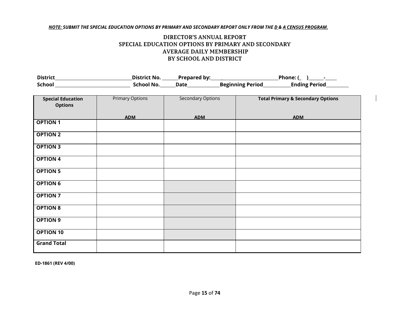#### NOTE: SUBMIT THE SPECIAL EDUCATION OPTIONS BY PRIMARY AND SECONDARY REPORT ONLY FROM THE D.& A CENSUS PROGRAM.

#### **DIRECTOR'S ANNUAL REPORT SPECIAL EDUCATION OPTIONS BY PRIMARY AND SECONDARY AVERAGE DAILY MEMBERSHIP BY SCHOOL AND DISTRICT**

| <b>District</b> | District No. | <b>Prepared by:</b> |                         | Phone: (             |
|-----------------|--------------|---------------------|-------------------------|----------------------|
| School          | School No.   | Date                | <b>Beginning Period</b> | <b>Ending Period</b> |

| <b>Special Education</b><br><b>Options</b> | <b>Primary Options</b> | Secondary Options | <b>Total Primary &amp; Secondary Options</b> |
|--------------------------------------------|------------------------|-------------------|----------------------------------------------|
|                                            | <b>ADM</b>             | <b>ADM</b>        | <b>ADM</b>                                   |
| <b>OPTION 1</b>                            |                        |                   |                                              |
| <b>OPTION 2</b>                            |                        |                   |                                              |
| <b>OPTION 3</b>                            |                        |                   |                                              |
| <b>OPTION 4</b>                            |                        |                   |                                              |
| <b>OPTION 5</b>                            |                        |                   |                                              |
| <b>OPTION 6</b>                            |                        |                   |                                              |
| <b>OPTION 7</b>                            |                        |                   |                                              |
| <b>OPTION 8</b>                            |                        |                   |                                              |
| <b>OPTION 9</b>                            |                        |                   |                                              |
| <b>OPTION 10</b>                           |                        |                   |                                              |
| <b>Grand Total</b>                         |                        |                   |                                              |

**ED-1861 (REV 4/00)**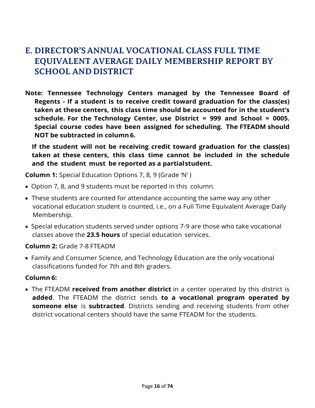# <span id="page-15-0"></span>**E. DIRECTOR'S ANNUAL VOCATIONAL CLASS FULL TIME EQUIVALENT AVERAGE DAILY MEMBERSHIP REPORT BY SCHOOL AND DISTRICT**

**Note: Tennessee Technology Centers managed by the Tennessee Board of Regents - If a student is to receive credit toward graduation for the class(es) taken at these centers, this class time should be accounted for in the student's schedule. For the Technology Center, use District = 999 and School = 0005. Special course codes have been assigned for scheduling. The FTEADM should NOT be subtracted in column 6.**

**If the student will not be receiving credit toward graduation for the class(es) taken at these centers, this class time cannot be included in the schedule and the student must be reported as a partialstudent.**

**Column 1:** Special Education Options 7, 8, 9 (Grade 'N' )

- Option 7, 8, and 9 students must be reported in this column.
- These students are counted for attendance accounting the same way any other vocational education student is counted, i.e., on a Full Time Equivalent Average Daily Membership.
- Special education students served under options 7-9 are those who take vocational classes above the **23.5 hours** of special education services.

### **Column 2:** Grade 7-8 FTEADM

• Family and Consumer Science, and Technology Education are the only vocational classifications funded for 7th and 8th graders.

### **Column 6:**

• The FTEADM **received from another district** in a center operated by this district is **added**. The FTEADM the district sends **to a vocational program operated by someone else** is **subtracted**. Districts sending and receiving students from other district vocational centers should have the same FTEADM for the students.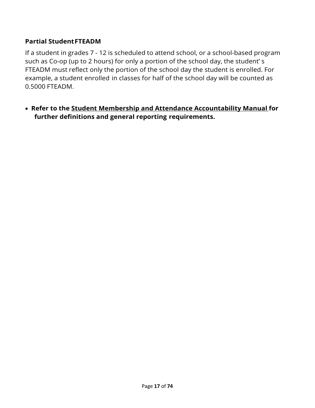# **Partial StudentFTEADM**

If a student in grades 7 - 12 is scheduled to attend school, or a school-based program such as Co-op (up to 2 hours) for only a portion of the school day, the student' s FTEADM must reflect only the portion of the school day the student is enrolled. For example, a student enrolled in classes for half of the school day will be counted as 0.5000 FTEADM.

• **Refer to the Student Membership and Attendance Accountability Manual for further definitions and general reporting requirements.**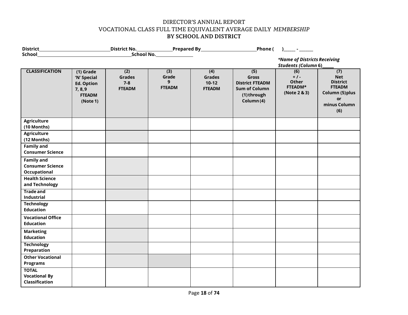#### DIRECTOR'S ANNUAL REPORT VOCATIONAL CLASS FULL TIME EQUIVALENT AVERAGE DAILY *MEMBERSHIP* **BY SCHOOL AND DISTRICT**

| District_                                                    |                                                                                         |                                                  |                                    | Phone (                                            |                                                                                             |                                                            |                                                                                                       |
|--------------------------------------------------------------|-----------------------------------------------------------------------------------------|--------------------------------------------------|------------------------------------|----------------------------------------------------|---------------------------------------------------------------------------------------------|------------------------------------------------------------|-------------------------------------------------------------------------------------------------------|
| School                                                       |                                                                                         |                                                  | School No.                         |                                                    |                                                                                             |                                                            |                                                                                                       |
|                                                              |                                                                                         |                                                  |                                    |                                                    |                                                                                             | *Name of Districts Receiving<br><b>Students (Column 6)</b> |                                                                                                       |
| <b>CLASSIFICATION</b>                                        | $(1)$ Grade<br>'N' Special<br><b>Ed. Option</b><br>7, 8, 9<br><b>FTEADM</b><br>(Note 1) | (2)<br><b>Grades</b><br>$7 - 8$<br><b>FTEADM</b> | (3)<br>Grade<br>9<br><b>FTEADM</b> | (4)<br><b>Grades</b><br>$10 - 12$<br><b>FTEADM</b> | (5)<br>Gross<br><b>District FTEADM</b><br><b>Sum of Column</b><br>(1) through<br>Column (4) | (6)<br>$+1$<br>Other<br>FTEADM*<br>(Note 2 & 3)            | (7)<br><b>Net</b><br><b>District</b><br><b>FTEADM</b><br>Column (5) plus<br>or<br>minus Column<br>(6) |
| <b>Agriculture</b><br>(10 Months)                            |                                                                                         |                                                  |                                    |                                                    |                                                                                             |                                                            |                                                                                                       |
| <b>Agriculture</b><br>(12 Months)                            |                                                                                         |                                                  |                                    |                                                    |                                                                                             |                                                            |                                                                                                       |
| <b>Family and</b><br><b>Consumer Science</b>                 |                                                                                         |                                                  |                                    |                                                    |                                                                                             |                                                            |                                                                                                       |
| <b>Family and</b><br><b>Consumer Science</b><br>Occupational |                                                                                         |                                                  |                                    |                                                    |                                                                                             |                                                            |                                                                                                       |
| <b>Health Science</b><br>and Technology                      |                                                                                         |                                                  |                                    |                                                    |                                                                                             |                                                            |                                                                                                       |
| <b>Trade and</b><br>Industrial                               |                                                                                         |                                                  |                                    |                                                    |                                                                                             |                                                            |                                                                                                       |
| <b>Technology</b><br><b>Education</b>                        |                                                                                         |                                                  |                                    |                                                    |                                                                                             |                                                            |                                                                                                       |
| <b>Vocational Office</b><br><b>Education</b>                 |                                                                                         |                                                  |                                    |                                                    |                                                                                             |                                                            |                                                                                                       |
| <b>Marketing</b><br><b>Education</b>                         |                                                                                         |                                                  |                                    |                                                    |                                                                                             |                                                            |                                                                                                       |
| <b>Technology</b><br>Preparation                             |                                                                                         |                                                  |                                    |                                                    |                                                                                             |                                                            |                                                                                                       |
| <b>Other Vocational</b><br><b>Programs</b>                   |                                                                                         |                                                  |                                    |                                                    |                                                                                             |                                                            |                                                                                                       |
| <b>TOTAL</b><br><b>Vocational By</b><br>Classification       |                                                                                         |                                                  |                                    |                                                    |                                                                                             |                                                            |                                                                                                       |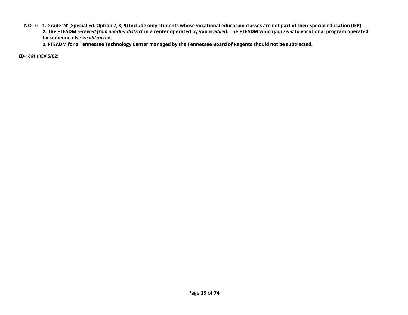NOTE: 1. Grade 'N' (Special Ed. Option 7, 8, 9) Include only students whose vocational education classes are not part of their special education (IEP) 2. The FTEADM received from another district in a center operated by you is added. The FTEADM which you send to vocational program operated **by someone else is***subtracte***d.**

3. FTEADM for a Tennessee Technology Center managed by the Tennessee Board of Regents should not be subtracted.

**ED-1861 (REV 5/02)**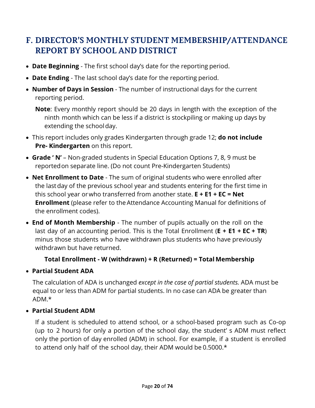# <span id="page-19-0"></span>**F. DIRECTOR'S MONTHLY STUDENT MEMBERSHIP/ATTENDANCE REPORT BY SCHOOL AND DISTRICT**

- **Date Beginning**  The first school day's date for the reporting period.
- **Date Ending**  The last school day's date for the reporting period.
- **Number of Days in Session** The number of instructional days for the current reporting period.

**Note**: Every monthly report should be 20 days in length with the exception of the ninth month which can be less if a district is stockpiling or making up days by extending the schoolday.

- This report includes only grades Kindergarten through grade 12; **do not include Pre- Kindergarten** on this report.
- **Grade ' N'**  Non-graded students in Special Education Options 7, 8, 9 must be reportedon separate line. (Do not count Pre-Kindergarten Students)
- **Net Enrollment to Date**  The sum of original students who were enrolled after the lastday of the previous school year and students entering for the first time in this school year orwho transferred from another state. **E + E1 + EC = Net Enrollment** (please refer to the Attendance Accounting Manual for definitions of the enrollment codes).
- **End of Month Membership** The number of pupils actually on the roll on the last day of an accounting period. This is the Total Enrollment (**E + E1 + EC + TR**) minus those students who have withdrawn plus students who have previously withdrawn but have returned.

## **Total Enrollment - W (withdrawn) + R (Returned) = Total Membership**

• **Partial Student ADA**

The calculation of ADA is unchanged *except in the case of partial students.* ADA must be equal to or less than ADM for partial students. In no case can ADA be greater than ADM.\*

## • **Partial Student ADM**

If a student is scheduled to attend school, or a school-based program such as Co-op (up to 2 hours) for only a portion of the school day, the student' s ADM must reflect only the portion of day enrolled (ADM) in school. For example, if a student is enrolled to attend only half of the school day, their ADM would be 0.5000.\*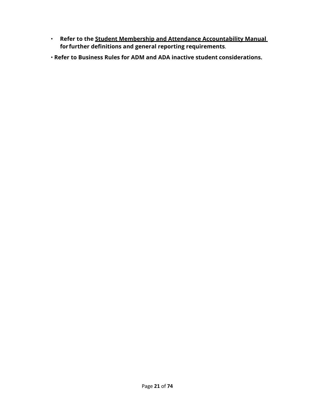- **Refer to the Student Membership and Attendance Accountability Manual for further definitions and general reporting requirements**.
- **Refer to Business Rules for ADM and ADA inactive student considerations.**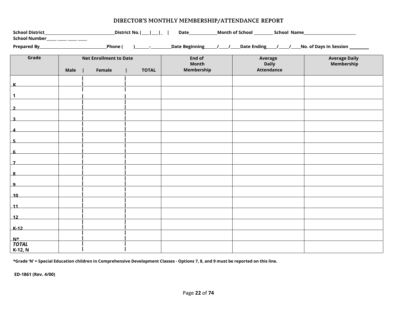|                         |      | Prepared By Prepared By Phone ( | $\sqrt{2}$   | Date Beginning 1.1 1.1 Date Ending 1.1 1.1 No. of Days In Session 1.1 1.1 2.1 Date Beginning |                         |                                    |  |  |  |  |  |  |  |
|-------------------------|------|---------------------------------|--------------|----------------------------------------------------------------------------------------------|-------------------------|------------------------------------|--|--|--|--|--|--|--|
| Grade                   |      | <b>Net Enrollment to Date</b>   |              | End of<br>Month                                                                              | Average<br><b>Daily</b> | <b>Average Daily</b><br>Membership |  |  |  |  |  |  |  |
|                         | Male | Female                          | <b>TOTAL</b> | Membership                                                                                   | <b>Attendance</b>       |                                    |  |  |  |  |  |  |  |
|                         |      |                                 |              |                                                                                              |                         |                                    |  |  |  |  |  |  |  |
| $\mathbf 1$             |      |                                 |              |                                                                                              |                         |                                    |  |  |  |  |  |  |  |
| $\overline{\mathbf{z}}$ |      |                                 |              |                                                                                              |                         |                                    |  |  |  |  |  |  |  |
| $\overline{\mathbf{3}}$ |      |                                 |              |                                                                                              |                         |                                    |  |  |  |  |  |  |  |
| $\boldsymbol{4}$        |      |                                 |              |                                                                                              |                         |                                    |  |  |  |  |  |  |  |
|                         |      |                                 |              |                                                                                              |                         |                                    |  |  |  |  |  |  |  |
| $5-$                    |      |                                 |              |                                                                                              |                         |                                    |  |  |  |  |  |  |  |
| 6                       |      |                                 |              |                                                                                              |                         |                                    |  |  |  |  |  |  |  |
| $\overline{7}$          |      |                                 |              |                                                                                              |                         |                                    |  |  |  |  |  |  |  |
| $\overline{\mathbf{8}}$ |      |                                 |              |                                                                                              |                         |                                    |  |  |  |  |  |  |  |
| $\mathbf{q}$            |      |                                 |              |                                                                                              |                         |                                    |  |  |  |  |  |  |  |
| 10                      |      |                                 |              |                                                                                              |                         |                                    |  |  |  |  |  |  |  |
| 11                      |      |                                 |              |                                                                                              |                         |                                    |  |  |  |  |  |  |  |
| 12                      |      |                                 |              |                                                                                              |                         |                                    |  |  |  |  |  |  |  |
| $K-12$                  |      |                                 |              |                                                                                              |                         |                                    |  |  |  |  |  |  |  |
| $N^*$                   |      |                                 |              |                                                                                              |                         |                                    |  |  |  |  |  |  |  |
| <b>TOTAL</b><br>K-12, N |      |                                 |              |                                                                                              |                         |                                    |  |  |  |  |  |  |  |

### **DIRECTOR'S MONTHLY MEMBERSHIP/ATTENDANCE REPORT**

\*Grade 'N' = Special Education children in Comprehensive Development Classes - Options 7, 8, and 9 must be reported on this line.

**ED-1861 (Rev. 4/00)**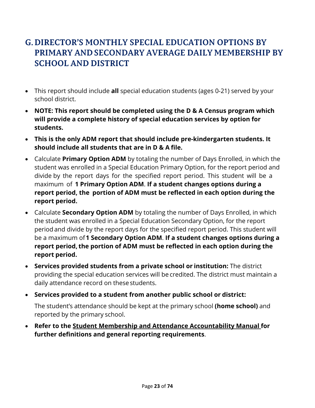# <span id="page-22-0"></span>**G.DIRECTOR'S MONTHLY SPECIAL EDUCATION OPTIONS BY PRIMARY AND SECONDARY AVERAGE DAILY MEMBERSHIP BY SCHOOL AND DISTRICT**

- This report should include **all** special education students (ages 0-21) served by your school district.
- **NOTE: This report should be completed using the D & A Census program which will provide a complete history of special education services by option for students.**
- **This is the only ADM report that should include pre-kindergarten students. It should include all students that are in D & A file.**
- Calculate **Primary Option ADM** by totaling the number of Days Enrolled, in which the student was enrolled in a Special Education Primary Option, for the report period and divide by the report days for the specified report period. This student will be a maximum of **1 Primary Option ADM**. **If a student changes options during a report period, the portion of ADM must be reflected in each option during the report period.**
- Calculate **Secondary Option ADM** by totaling the number of Days Enrolled, in which the student was enrolled in a Special Education Secondary Option, for the report period and divide by the report days for the specified report period. This student will be a maximum of**1 Secondary Option ADM**. **If a student changes options during a report period, the portion of ADM must be reflected in each option during the report period.**
- **Services provided students from a private school or institution:** The district providing the special education services will be credited. The district must maintain a daily attendance record on these students.
- **Services provided to a student from another public school or district:**

The student's attendance should be kept at the primary school **(home school)** and reported by the primary school.

• **Refer to the Student Membership and Attendance Accountability Manual for further definitions and general reporting requirements**.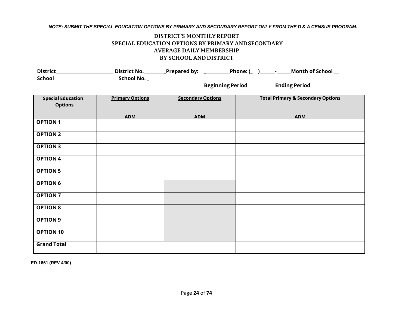#### NOTE: SUBMIT THE SPECIAL EDUCATION OPTIONS BY PRIMARY AND SECONDARY REPORT ONLY FROM THE D.& A CENSUS PROGRAM.

#### **DISTRICT'S MONTHLYREPORT SPECIAL EDUCATION OPTIONS BY PRIMARY ANDSECONDARY AVERAGE DAILY MEMBERSHIP BY SCHOOL AND DISTRICT**

|                                            |                        | District_______________________________District No. ____________Prepared by: ___________Phone: (_ )______-______Month of School __ |                                              |  |  |  |  |  |  |  |
|--------------------------------------------|------------------------|------------------------------------------------------------------------------------------------------------------------------------|----------------------------------------------|--|--|--|--|--|--|--|
|                                            |                        |                                                                                                                                    |                                              |  |  |  |  |  |  |  |
| <b>Special Education</b><br><b>Options</b> | <b>Primary Options</b> | <b>Secondary Options</b>                                                                                                           | <b>Total Primary &amp; Secondary Options</b> |  |  |  |  |  |  |  |
|                                            | <b>ADM</b>             | <b>ADM</b>                                                                                                                         | <b>ADM</b>                                   |  |  |  |  |  |  |  |
| <b>OPTION 1</b>                            |                        |                                                                                                                                    |                                              |  |  |  |  |  |  |  |
| <b>OPTION 2</b>                            |                        |                                                                                                                                    |                                              |  |  |  |  |  |  |  |
| <b>OPTION 3</b>                            |                        |                                                                                                                                    |                                              |  |  |  |  |  |  |  |
| <b>OPTION 4</b>                            |                        |                                                                                                                                    |                                              |  |  |  |  |  |  |  |
| <b>OPTION 5</b>                            |                        |                                                                                                                                    |                                              |  |  |  |  |  |  |  |
| <b>OPTION 6</b>                            |                        |                                                                                                                                    |                                              |  |  |  |  |  |  |  |
| <b>OPTION 7</b>                            |                        |                                                                                                                                    |                                              |  |  |  |  |  |  |  |
| <b>OPTION 8</b>                            |                        |                                                                                                                                    |                                              |  |  |  |  |  |  |  |
| <b>OPTION 9</b>                            |                        |                                                                                                                                    |                                              |  |  |  |  |  |  |  |
| <b>OPTION 10</b>                           |                        |                                                                                                                                    |                                              |  |  |  |  |  |  |  |
| <b>Grand Total</b>                         |                        |                                                                                                                                    |                                              |  |  |  |  |  |  |  |

**ED-1861 (REV 4/00)**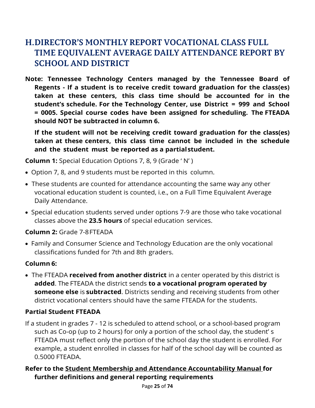# <span id="page-24-0"></span>**H.DIRECTOR'S MONTHLY REPORT VOCATIONAL CLASS FULL TIME EQUIVALENT AVERAGE DAILY ATTENDANCE REPORT BY SCHOOL AND DISTRICT**

**Note: Tennessee Technology Centers managed by the Tennessee Board of Regents - If a student is to receive credit toward graduation for the class(es) taken at these centers, this class time should be accounted for in the student's schedule. For the Technology Center, use District = 999 and School = 0005. Special course codes have been assigned for scheduling. The FTEADA should NOT be subtracted in column 6.**

**If the student will not be receiving credit toward graduation for the class(es) taken at these centers, this class time cannot be included in the schedule and the student must be reported as a partialstudent.**

**Column 1:** Special Education Options 7, 8, 9 (Grade ' N' )

- Option 7, 8, and 9 students must be reported in this column.
- These students are counted for attendance accounting the same way any other vocational education student is counted, i.e., on a Full Time Equivalent Average Daily Attendance.
- Special education students served under options 7-9 are those who take vocational classes above the **23.5 hours** of special education services.

## **Column 2:** Grade 7-8FTEADA

• Family and Consumer Science and Technology Education are the only vocational classifications funded for 7th and 8th graders.

## **Column 6:**

• The FTEADA **received from another district** in a center operated by this district is **added**. The FTEADA the district sends **to a vocational program operated by someone else** is **subtracted**. Districts sending and receiving students from other district vocational centers should have the same FTEADA for the students.

## **Partial Student FTEADA**

If a student in grades 7 - 12 is scheduled to attend school, or a school-based program such as Co-op (up to 2 hours) for only a portion of the school day, the student' s FTEADA must reflect only the portion of the school day the student is enrolled. For example, a student enrolled in classes for half of the school day will be counted as 0.5000 FTEADA.

## **Refer to the Student Membership and Attendance Accountability Manual for further definitions and general reporting requirements**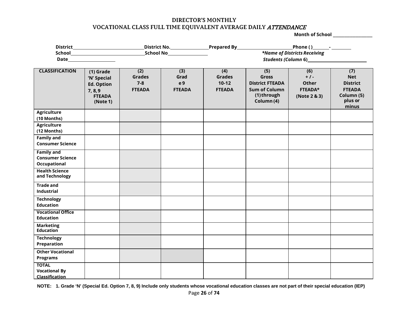#### **DIRECTOR'S MONTHLY VOCATIONAL CLASS FULL TIME EQUIVALENT AVERAGE DAILY** ATTENDANCE

**Month of School** \_\_\_\_\_\_\_\_\_\_\_\_\_\_

|                                                               |                                                                                         |                                                  |                                     | *Name of Districts Receiving                     |                                                                                                    |                                                               |                                                                                         |  |  |  |  |  |  |
|---------------------------------------------------------------|-----------------------------------------------------------------------------------------|--------------------------------------------------|-------------------------------------|--------------------------------------------------|----------------------------------------------------------------------------------------------------|---------------------------------------------------------------|-----------------------------------------------------------------------------------------|--|--|--|--|--|--|
|                                                               |                                                                                         |                                                  |                                     |                                                  |                                                                                                    |                                                               |                                                                                         |  |  |  |  |  |  |
| <b>CLASSIFICATION</b>                                         | $(1)$ Grade<br>'N' Special<br><b>Ed. Option</b><br>7, 8, 9<br><b>FTEADA</b><br>(Note 1) | (2)<br><b>Grades</b><br>$7 - 8$<br><b>FTEADA</b> | (3)<br>Grad<br>e 9<br><b>FTEADA</b> | (4)<br><b>Grades</b><br>$10-12$<br><b>FTEADA</b> | (5)<br><b>Gross</b><br><b>District FTEADA</b><br><b>Sum of Column</b><br>(1) through<br>Column (4) | (6)<br>$+1$<br><b>Other</b><br><b>FTEADA*</b><br>(Note 2 & 3) | (7)<br><b>Net</b><br><b>District</b><br><b>FTEADA</b><br>Column (5)<br>plus or<br>minus |  |  |  |  |  |  |
| <b>Agriculture</b><br>(10 Months)                             |                                                                                         |                                                  |                                     |                                                  |                                                                                                    |                                                               |                                                                                         |  |  |  |  |  |  |
| <b>Agriculture</b><br>(12 Months)                             |                                                                                         |                                                  |                                     |                                                  |                                                                                                    |                                                               |                                                                                         |  |  |  |  |  |  |
| <b>Family and</b><br><b>Consumer Science</b>                  |                                                                                         |                                                  |                                     |                                                  |                                                                                                    |                                                               |                                                                                         |  |  |  |  |  |  |
| <b>Family and</b><br><b>Consumer Science</b><br>Occupational  |                                                                                         |                                                  |                                     |                                                  |                                                                                                    |                                                               |                                                                                         |  |  |  |  |  |  |
| <b>Health Science</b><br>and Technology                       |                                                                                         |                                                  |                                     |                                                  |                                                                                                    |                                                               |                                                                                         |  |  |  |  |  |  |
| <b>Trade and</b><br><b>Industrial</b>                         |                                                                                         |                                                  |                                     |                                                  |                                                                                                    |                                                               |                                                                                         |  |  |  |  |  |  |
| <b>Technology</b><br><b>Education</b>                         |                                                                                         |                                                  |                                     |                                                  |                                                                                                    |                                                               |                                                                                         |  |  |  |  |  |  |
| <b>Vocational Office</b><br><b>Education</b>                  |                                                                                         |                                                  |                                     |                                                  |                                                                                                    |                                                               |                                                                                         |  |  |  |  |  |  |
| <b>Marketing</b><br><b>Education</b>                          |                                                                                         |                                                  |                                     |                                                  |                                                                                                    |                                                               |                                                                                         |  |  |  |  |  |  |
| <b>Technology</b><br>Preparation                              |                                                                                         |                                                  |                                     |                                                  |                                                                                                    |                                                               |                                                                                         |  |  |  |  |  |  |
| <b>Other Vocational</b><br><b>Programs</b>                    |                                                                                         |                                                  |                                     |                                                  |                                                                                                    |                                                               |                                                                                         |  |  |  |  |  |  |
| <b>TOTAL</b><br><b>Vocational By</b><br><b>Classification</b> |                                                                                         |                                                  |                                     |                                                  |                                                                                                    |                                                               |                                                                                         |  |  |  |  |  |  |

NOTE: 1. Grade 'N' (Special Ed. Option 7, 8, 9) Include only students whose vocational education classes are not part of their special education (IEP)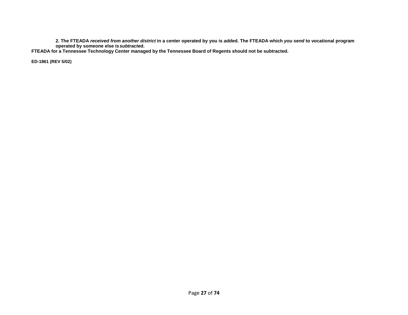**2. The FTEADA** *received from another district* **in a center operated by you is** *adde***d. The FTEADA which** *you send* **to vocational program operated by someone else is** *subtracte***d.**

FTEADA for a Tennessee Technology Center managed by the Tennessee Board of Regents should not be subtracted.

**ED-1861 (REV 5/02)**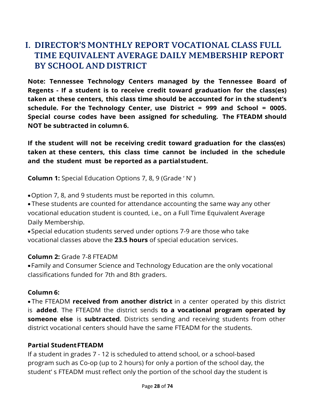# <span id="page-27-0"></span>**I. DIRECTOR'S MONTHLY REPORT VOCATIONAL CLASS FULL TIME EQUIVALENT AVERAGE DAILY MEMBERSHIP REPORT BY SCHOOL AND DISTRICT**

**Note: Tennessee Technology Centers managed by the Tennessee Board of Regents - If a student is to receive credit toward graduation for the class(es) taken at these centers, this class time should be accounted for in the student's schedule. For the Technology Center, use District = 999 and School = 0005. Special course codes have been assigned for scheduling. The FTEADM should NOT be subtracted in column 6.**

**If the student will not be receiving credit toward graduation for the class(es) taken at these centers, this class time cannot be included in the schedule and the student must be reported as a partialstudent.**

**Column 1:** Special Education Options 7, 8, 9 (Grade ' N' )

•Option 7, 8, and 9 students must be reported in this column.

• These students are counted for attendance accounting the same way any other vocational education student is counted, i.e., on a Full Time Equivalent Average Daily Membership.

•Special education students served under options 7-9 are those who take vocational classes above the **23.5 hours** of special education services.

### **Column 2:** Grade 7-8 FTEADM

•Family and Consumer Science and Technology Education are the only vocational classifications funded for 7th and 8th graders.

### **Column 6:**

• The FTEADM **received from another district** in a center operated by this district is **added**. The FTEADM the district sends **to a vocational program operated by someone else** is **subtracted**. Districts sending and receiving students from other district vocational centers should have the same FTEADM for the students.

## **Partial StudentFTEADM**

If a student in grades 7 - 12 is scheduled to attend school, or a school-based program such as Co-op (up to 2 hours) for only a portion of the school day, the student' s FTEADM must reflect only the portion of the school day the student is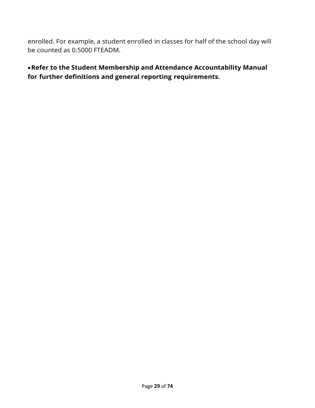enrolled. For example, a student enrolled in classes for half of the school day will be counted as 0.5000 FTEADM.

•**Refer to the Student Membership and Attendance Accountability Manual for further definitions and general reporting requirements.**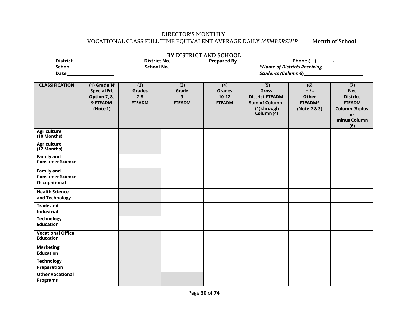### DIRECTOR'S MONTHLY VOCATIONAL CLASS FULL TIME EQUIVALENT AVERAGE DAILY *MEMBERSHIP* **Month of School** \_\_\_\_\_

| BY DISTRICT AND SCHOOL                                       |                                                                             |                                                  |                                    |                                                  |                                                                                                    |                                                        |                                                                                                       |  |  |  |  |
|--------------------------------------------------------------|-----------------------------------------------------------------------------|--------------------------------------------------|------------------------------------|--------------------------------------------------|----------------------------------------------------------------------------------------------------|--------------------------------------------------------|-------------------------------------------------------------------------------------------------------|--|--|--|--|
|                                                              |                                                                             |                                                  |                                    | District No. Prepared By                         |                                                                                                    | Phone ( <u>)</u> _________ <sup>_</sup> ___________    |                                                                                                       |  |  |  |  |
|                                                              |                                                                             |                                                  | _School No.__________________      | *Name of Districts Receiving                     |                                                                                                    |                                                        |                                                                                                       |  |  |  |  |
|                                                              | Students (Column 6)                                                         |                                                  |                                    |                                                  |                                                                                                    |                                                        |                                                                                                       |  |  |  |  |
|                                                              |                                                                             |                                                  |                                    |                                                  |                                                                                                    |                                                        |                                                                                                       |  |  |  |  |
| <b>CLASSIFICATION</b>                                        | (1) Grade 'N'<br><b>Special Ed.</b><br>Option 7, 8,<br>9 FTEADM<br>(Note 1) | (2)<br><b>Grades</b><br>$7 - 8$<br><b>FTEADM</b> | (3)<br>Grade<br>9<br><b>FTEADM</b> | (4)<br><b>Grades</b><br>$10-12$<br><b>FTEADM</b> | (5)<br><b>Gross</b><br><b>District FTEADM</b><br><b>Sum of Column</b><br>(1) through<br>Column (4) | (6)<br>$+1$<br><b>Other</b><br>FTEADM*<br>(Note 2 & 3) | (7)<br><b>Net</b><br><b>District</b><br><b>FTEADM</b><br>Column (5) plus<br>or<br>minus Column<br>(6) |  |  |  |  |
| Agriculture<br>(10 Months)                                   |                                                                             |                                                  |                                    |                                                  |                                                                                                    |                                                        |                                                                                                       |  |  |  |  |
| <b>Agriculture</b><br>(12 Months)                            |                                                                             |                                                  |                                    |                                                  |                                                                                                    |                                                        |                                                                                                       |  |  |  |  |
| <b>Family and</b><br><b>Consumer Science</b>                 |                                                                             |                                                  |                                    |                                                  |                                                                                                    |                                                        |                                                                                                       |  |  |  |  |
| <b>Family and</b><br><b>Consumer Science</b><br>Occupational |                                                                             |                                                  |                                    |                                                  |                                                                                                    |                                                        |                                                                                                       |  |  |  |  |
| <b>Health Science</b><br>and Technology                      |                                                                             |                                                  |                                    |                                                  |                                                                                                    |                                                        |                                                                                                       |  |  |  |  |
| <b>Trade and</b><br>Industrial                               |                                                                             |                                                  |                                    |                                                  |                                                                                                    |                                                        |                                                                                                       |  |  |  |  |
| <b>Technology</b><br><b>Education</b>                        |                                                                             |                                                  |                                    |                                                  |                                                                                                    |                                                        |                                                                                                       |  |  |  |  |
| <b>Vocational Office</b><br><b>Education</b>                 |                                                                             |                                                  |                                    |                                                  |                                                                                                    |                                                        |                                                                                                       |  |  |  |  |
| <b>Marketing</b><br><b>Education</b>                         |                                                                             |                                                  |                                    |                                                  |                                                                                                    |                                                        |                                                                                                       |  |  |  |  |
| <b>Technology</b><br>Preparation                             |                                                                             |                                                  |                                    |                                                  |                                                                                                    |                                                        |                                                                                                       |  |  |  |  |
| <b>Other Vocational</b><br><b>Programs</b>                   |                                                                             |                                                  |                                    |                                                  |                                                                                                    |                                                        |                                                                                                       |  |  |  |  |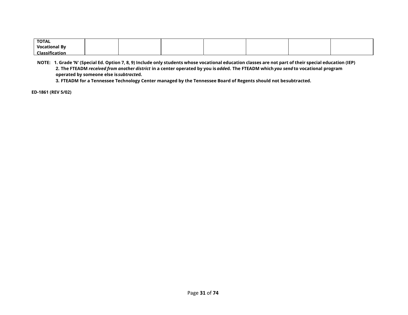| <b>TOTAL</b>         |  |  |  |  |
|----------------------|--|--|--|--|
| <b>Vocational By</b> |  |  |  |  |
| Classifie:<br>cation |  |  |  |  |

NOTE: 1. Grade 'N' (Special Ed. Option 7, 8, 9) Include only students whose vocational education classes are not part of their special education (IEP) 2. The FTEADM received from another district in a center operated by you is added. The FTEADM which you send to vocational program **operated by someone else is***subtracte***d.**

**3. FTEADM for a Tennessee Technology Center managed by the Tennessee Board of Regents should not besubtracted.**

**ED-1861 (REV 5/02)**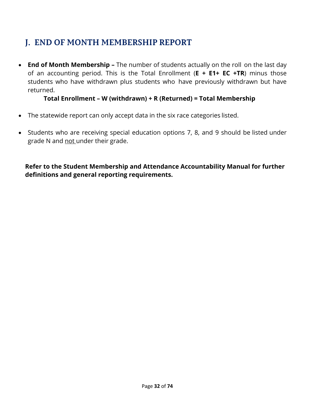# <span id="page-31-0"></span>**J. END OF MONTH MEMBERSHIP REPORT**

• **End of Month Membership –** The number of students actually on the roll on the last day of an accounting period. This is the Total Enrollment (**E + E1+ EC +TR**) minus those students who have withdrawn plus students who have previously withdrawn but have returned.

## **Total Enrollment – W (withdrawn) + R (Returned) = Total Membership**

- The statewide report can only accept data in the six race categories listed.
- Students who are receiving special education options 7, 8, and 9 should be listed under grade N and not under their grade.

**Refer to the Student Membership and Attendance Accountability Manual for further definitions and general reporting requirements.**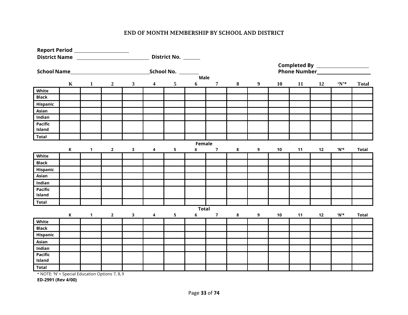### **END OF MONTH MEMBERSHIP BY SCHOOL AND DISTRICT**

| Report Period ____________________                |             |              |                |              |                         |                     |              |                |   |                  |            |    |    |                                |              |  |
|---------------------------------------------------|-------------|--------------|----------------|--------------|-------------------------|---------------------|--------------|----------------|---|------------------|------------|----|----|--------------------------------|--------------|--|
| District Name                                     |             |              |                |              |                         | District No. ______ |              |                |   |                  |            |    |    |                                |              |  |
|                                                   |             |              |                |              |                         |                     |              |                |   |                  |            |    |    |                                |              |  |
| School Name <i>______________________________</i> |             |              |                |              |                         | School No.          |              |                |   |                  |            |    |    |                                |              |  |
|                                                   |             |              |                |              |                         |                     | Male         |                |   |                  |            |    |    |                                |              |  |
|                                                   | $\mathbf K$ | $\mathbf{1}$ | $\overline{2}$ | $\mathbf{3}$ | $\overline{\mathbf{4}}$ | $5\phantom{.0}$     | 6            | $\overline{7}$ | 8 | $\boldsymbol{9}$ | 10         | 11 | 12 | $\mathbf{N}^*$                 | <b>Total</b> |  |
| White                                             |             |              |                |              |                         |                     |              |                |   |                  |            |    |    |                                |              |  |
| <b>Black</b>                                      |             |              |                |              |                         |                     |              |                |   |                  |            |    |    |                                |              |  |
| Hispanic                                          |             |              |                |              |                         |                     |              |                |   |                  |            |    |    |                                |              |  |
| Asian                                             |             |              |                |              |                         |                     |              |                |   |                  |            |    |    |                                |              |  |
| Indian                                            |             |              |                |              |                         |                     |              |                |   |                  |            |    |    |                                |              |  |
| <b>Pacific</b>                                    |             |              |                |              |                         |                     |              |                |   |                  |            |    |    |                                |              |  |
| Island                                            |             |              |                |              |                         |                     |              |                |   |                  |            |    |    |                                |              |  |
| <b>Total</b>                                      |             |              |                |              |                         |                     |              |                |   |                  |            |    |    |                                |              |  |
|                                                   |             |              |                |              |                         |                     | Female       |                |   |                  |            |    |    |                                |              |  |
|                                                   | $\,$ K      | $\mathbf{1}$ | $\overline{2}$ | 3            | 4                       | 5                   | 6            | $\overline{7}$ | 8 | 9                | 10         | 11 | 12 | 'N'*                           | <b>Total</b> |  |
| White                                             |             |              |                |              |                         |                     |              |                |   |                  |            |    |    |                                |              |  |
| <b>Black</b>                                      |             |              |                |              |                         |                     |              |                |   |                  |            |    |    |                                |              |  |
| Hispanic                                          |             |              |                |              |                         |                     |              |                |   |                  |            |    |    |                                |              |  |
| Asian                                             |             |              |                |              |                         |                     |              |                |   |                  |            |    |    |                                |              |  |
| Indian                                            |             |              |                |              |                         |                     |              |                |   |                  |            |    |    |                                |              |  |
| Pacific                                           |             |              |                |              |                         |                     |              |                |   |                  |            |    |    |                                |              |  |
| Island                                            |             |              |                |              |                         |                     |              |                |   |                  |            |    |    |                                |              |  |
| <b>Total</b>                                      |             |              |                |              |                         |                     |              |                |   |                  |            |    |    |                                |              |  |
|                                                   |             |              |                |              |                         |                     | <b>Total</b> |                |   |                  |            |    |    |                                |              |  |
|                                                   | $\,$ K      | $\mathbf{1}$ | $\mathbf{2}$   | 3            | 4                       | 5                   | 6            | $\overline{7}$ | 8 | 9                | ${\bf 10}$ | 11 | 12 | $^{\prime}$ N $^{\prime\star}$ | <b>Total</b> |  |
| White                                             |             |              |                |              |                         |                     |              |                |   |                  |            |    |    |                                |              |  |
| <b>Black</b>                                      |             |              |                |              |                         |                     |              |                |   |                  |            |    |    |                                |              |  |
| Hispanic                                          |             |              |                |              |                         |                     |              |                |   |                  |            |    |    |                                |              |  |
| Asian                                             |             |              |                |              |                         |                     |              |                |   |                  |            |    |    |                                |              |  |
| Indian                                            |             |              |                |              |                         |                     |              |                |   |                  |            |    |    |                                |              |  |
| Pacific                                           |             |              |                |              |                         |                     |              |                |   |                  |            |    |    |                                |              |  |
| Island                                            |             |              |                |              |                         |                     |              |                |   |                  |            |    |    |                                |              |  |
| <b>Total</b>                                      |             |              |                |              |                         |                     |              |                |   |                  |            |    |    |                                |              |  |

\* NOTE: 'N' = Special Education Options 7, 8, 9

**ED-2991 (Rev 4/00)**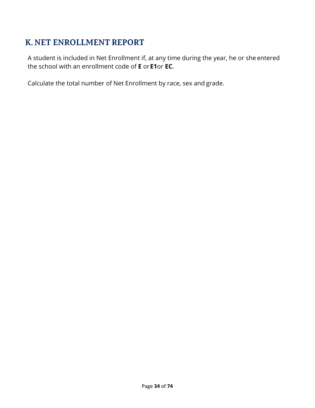# <span id="page-33-0"></span>**K. NET ENROLLMENT REPORT**

A student is included in Net Enrollment if, at any time during the year, he or she entered the school with an enrollment code of **E** or**E1**or **EC**.

Calculate the total number of Net Enrollment by race, sex and grade.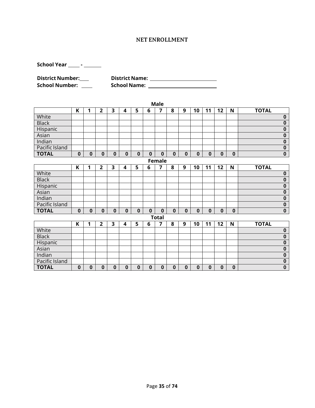#### **NET ENROLLMENT**

**School Year -**

**District Number: District Name: School Number: School Name:**

| <b>Male</b>    |              |          |                         |          |                         |             |          |                |              |             |              |             |             |          |                         |
|----------------|--------------|----------|-------------------------|----------|-------------------------|-------------|----------|----------------|--------------|-------------|--------------|-------------|-------------|----------|-------------------------|
|                | K            | 1        | $\overline{\mathbf{2}}$ | 3        | 4                       | 5           | 6        | 7              | 8            | 9           | 10           | 11          | 12          | N        | <b>TOTAL</b>            |
| White          |              |          |                         |          |                         |             |          |                |              |             |              |             |             |          | $\pmb{0}$               |
| <b>Black</b>   |              |          |                         |          |                         |             |          |                |              |             |              |             |             |          | $\bf{0}$                |
| Hispanic       |              |          |                         |          |                         |             |          |                |              |             |              |             |             |          | $\pmb{0}$               |
| Asian          |              |          |                         |          |                         |             |          |                |              |             |              |             |             |          | $\bf{0}$                |
| Indian         |              |          |                         |          |                         |             |          |                |              |             |              |             |             |          | $\overline{\mathbf{0}}$ |
| Pacific Island |              |          |                         |          |                         |             |          |                |              |             |              |             |             |          | $\overline{\mathbf{0}}$ |
| <b>TOTAL</b>   | $\mathbf 0$  | $\bf{0}$ | $\mathbf 0$             | $\bf{0}$ | $\mathbf 0$             | $\bf{0}$    | $\bf{0}$ | $\bf{0}$       | $\mathbf{0}$ | $\pmb{0}$   | $\mathbf 0$  | $\mathbf 0$ | $\mathbf 0$ | $\bf{0}$ | $\overline{\mathbf{0}}$ |
| Female         |              |          |                         |          |                         |             |          |                |              |             |              |             |             |          |                         |
|                | K            | 1        | $\overline{2}$          | 3        | 4                       | 5           | 6        | $\overline{7}$ | 8            | 9           | 10           | 11          | 12          | N        | <b>TOTAL</b>            |
| White          |              |          |                         |          |                         |             |          |                |              |             |              |             |             |          | $\bf{0}$                |
| <b>Black</b>   |              |          |                         |          |                         |             |          |                |              |             |              |             |             |          | $\mathbf 0$             |
| Hispanic       |              |          |                         |          |                         |             |          |                |              |             |              |             |             |          | $\overline{\mathbf{0}}$ |
| Asian          |              |          |                         |          |                         |             |          |                |              |             |              |             |             |          | $\bf{0}$                |
| Indian         |              |          |                         |          |                         |             |          |                |              |             |              |             |             |          | $\overline{\mathbf{0}}$ |
| Pacific Island |              |          |                         |          |                         |             |          |                |              |             |              |             |             |          | $\bf{0}$                |
| <b>TOTAL</b>   | $\mathbf{0}$ | $\bf{0}$ | 0                       | $\bf{0}$ | $\bf{0}$                | $\mathbf 0$ | $\bf{0}$ | $\bf{0}$       | $\bf{0}$     | $\bf{0}$    | $\mathbf{0}$ | $\bf{0}$    | $\bf{0}$    | $\bf{0}$ | $\pmb{0}$               |
|                |              |          |                         |          |                         |             |          | <b>Total</b>   |              |             |              |             |             |          |                         |
|                | K            | 1        | $\overline{2}$          | 3        | $\overline{\mathbf{4}}$ | 5           | 6        | $\overline{7}$ | 8            | 9           | 10           | 11          | 12          | N        | <b>TOTAL</b>            |
| White          |              |          |                         |          |                         |             |          |                |              |             |              |             |             |          | $\pmb{0}$               |
| <b>Black</b>   |              |          |                         |          |                         |             |          |                |              |             |              |             |             |          | $\overline{\mathbf{0}}$ |
| Hispanic       |              |          |                         |          |                         |             |          |                |              |             |              |             |             |          | $\mathbf 0$             |
| Asian          |              |          |                         |          |                         |             |          |                |              |             |              |             |             |          | $\bf{0}$                |
| Indian         |              |          |                         |          |                         |             |          |                |              |             |              |             |             |          | $\overline{\mathbf{0}}$ |
| Pacific Island |              |          |                         |          |                         |             |          |                |              |             |              |             |             |          | $\pmb{0}$               |
| <b>TOTAL</b>   | $\bf{0}$     | $\bf{0}$ | 0                       | $\bf{0}$ | $\bf{0}$                | $\bf{0}$    | $\bf{0}$ | $\bf{0}$       | $\bf{0}$     | $\mathbf 0$ | $\mathbf 0$  | $\bf{0}$    | $\bf{0}$    | $\bf{0}$ | $\bf{0}$                |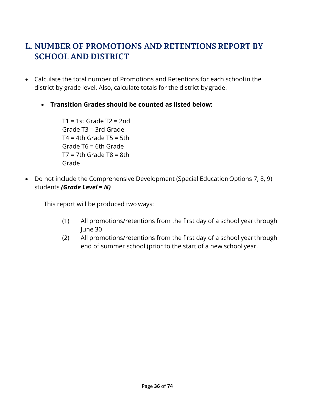# <span id="page-35-0"></span>**L. NUMBER OF PROMOTIONS AND RETENTIONS REPORT BY SCHOOL AND DISTRICT**

- Calculate the total number of Promotions and Retentions for each schoolin the district by grade level. Also, calculate totals for the district by grade.
	- **Transition Grades should be counted as listed below:**

 $T1 = 1$ st Grade T2 = 2nd Grade T3 = 3rd Grade  $T4 = 4th$  Grade T5 = 5th Grade T6 = 6th Grade  $T7 = 7th$  Grade T8 = 8th Grade

• Do not include the Comprehensive Development (Special Education Options 7, 8, 9) students *(Grade Level = N)*

This report will be produced two ways:

- (1) All promotions/retentions from the first day of a school year through June 30
- (2) All promotions/retentions from the first day of a school year through end of summer school (prior to the start of a new school year.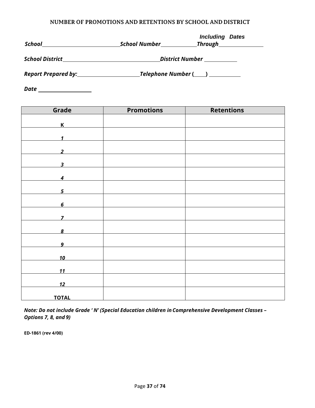#### **NUMBER OF PROMOTIONS AND RETENTIONS BY SCHOOL AND DISTRICT**

| <b>School</b>                      | School Number | <b>Including</b><br><b>Dates</b><br><b>Through</b> Through |
|------------------------------------|---------------|------------------------------------------------------------|
| <b>School District</b>             |               | District Number                                            |
| Report Prepared by:_______________ |               | Telephone Number (____) __________                         |

*Date*

| Grade                   | <b>Promotions</b> | <b>Retentions</b> |
|-------------------------|-------------------|-------------------|
| $\overline{\mathsf{K}}$ |                   |                   |
|                         |                   |                   |
| 1                       |                   |                   |
| $\overline{2}$          |                   |                   |
| 3                       |                   |                   |
|                         |                   |                   |
| $\boldsymbol{4}$        |                   |                   |
| 5                       |                   |                   |
|                         |                   |                   |
| $\pmb{6}$               |                   |                   |
| 7                       |                   |                   |
| 8                       |                   |                   |
|                         |                   |                   |
| $\boldsymbol{9}$        |                   |                   |
| 10                      |                   |                   |
| <u>11</u>               |                   |                   |
|                         |                   |                   |
| 12                      |                   |                   |
| <b>TOTAL</b>            |                   |                   |

*Note: Do not include Grade ' N' (Special Education children in Comprehensive Development Classes – Options 7, 8, and 9)*

**ED-1861 (rev 4/00)**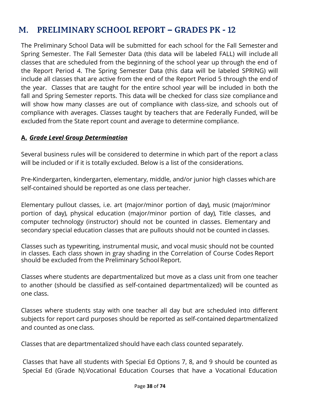# **M. PRELIMINARY SCHOOL REPORT – GRADES PK - 12**

The Preliminary School Data will be submitted for each school for the Fall Semester and Spring Semester. The Fall Semester Data (this data will be labeled FALL) will include all classes that are scheduled from the beginning of the school year up through the end of the Report Period 4. The Spring Semester Data (this data will be labeled SPRING) will include all classes that are active from the end of the Report Period 5 through the end of the year. Classes that are taught for the entire school year will be included in both the fall and Spring Semester reports. This data will be checked for class size compliance and will show how many classes are out of compliance with class-size, and schools out of compliance with averages. Classes taught by teachers that are Federally Funded, will be excluded from the State report count and average to determine compliance.

## **A.** *Grade Level Group Determination*

Several business rules will be considered to determine in which part of the report a class will be included or if it is totally excluded. Below is a list of the considerations.

Pre-Kindergarten, kindergarten, elementary, middle, and/or junior high classes whichare self-contained should be reported as one class per teacher.

Elementary pullout classes, i.e. art (major/minor portion of day), music (major/minor portion of day), physical education (major/minor portion of day), Title classes, and computer technology (instructor) should not be counted in classes. Elementary and secondary special education classes that are pullouts should not be counted inclasses.

Classes such as typewriting, instrumental music, and vocal music should not be counted in classes. Each class shown in gray shading in the Correlation of Course Codes Report should be excluded from the Preliminary School Report.

Classes where students are departmentalized but move as a class unit from one teacher to another (should be classified as self-contained departmentalized) will be counted as one class.

Classes where students stay with one teacher all day but are scheduled into different subjects for report card purposes should be reported as self-contained departmentalized and counted as one class.

Classes that are departmentalized should have each class counted separately.

Classes that have all students with Special Ed Options 7, 8, and 9 should be counted as Special Ed (Grade N).Vocational Education Courses that have a Vocational Education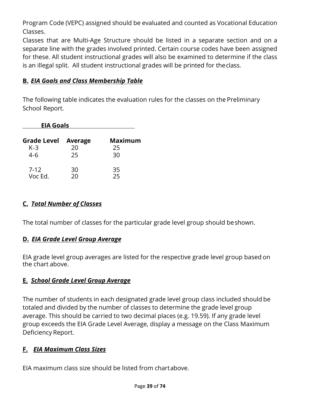Program Code (VEPC) assigned should be evaluated and counted as Vocational Education Classes.

Classes that are Multi-Age Structure should be listed in a separate section and on a separate line with the grades involved printed. Certain course codes have been assigned for these. All student instructional grades will also be examined to determine if the class is an illegal split. All student instructional grades will be printed for theclass.

## **B.** *EIA Goals and Class Membership Table*

The following table indicates the evaluation rules for the classes on the Preliminary School Report.

| <b>EIA Goals</b>           |          |                |
|----------------------------|----------|----------------|
| <b>Grade Level Average</b> |          | <b>Maximum</b> |
| $K-3$                      | 20       | 25             |
| 4-6                        | 25       | 30             |
| $7-12$<br>Voc Ed.          | 30<br>ንበ | 35<br>つら       |

## **C.** *Total Number of Classes*

The total number of classes for the particular grade level group should beshown.

## **D.** *EIA Grade Level Group Average*

EIA grade level group averages are listed for the respective grade level group based on the chart above.

## **E.** *School Grade Level Group Average*

The number of students in each designated grade level group class included should be totaled and divided by the number of classes to determine the grade level group average. This should be carried to two decimal places (e.g. 19.59). If any grade level group exceeds the EIA Grade Level Average, display a message on the Class Maximum Deficiency Report.

## **F.** *EIA Maximum Class Sizes*

EIA maximum class size should be listed from chartabove.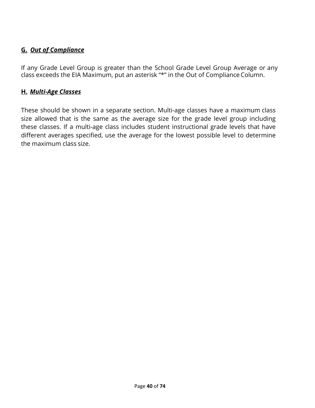## **G.** *Out of Compliance*

If any Grade Level Group is greater than the School Grade Level Group Average or any class exceeds the EIA Maximum, put an asterisk "\*" in the Out of Compliance Column.

## **H.** *Multi-Age Classes*

These should be shown in a separate section. Multi-age classes have a maximum class size allowed that is the same as the average size for the grade level group including these classes. If a multi-age class includes student instructional grade levels that have different averages specified, use the average for the lowest possible level to determine the maximum class size.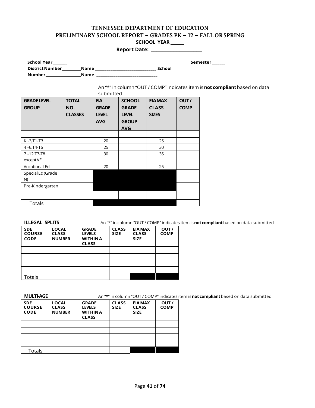#### **TENNESSEE DEPARTMENT OF EDUCATION PRELIMINARY SCHOOL REPORT – GRADES PK – 12 – FALL ORSPRING SCHOOL YEAR**

**Report Date: \_\_\_\_\_\_\_\_\_\_\_\_\_\_\_\_\_\_**

 **School Year \_\_\_\_\_\_\_\_ Semester \_\_\_\_\_\_\_ DistrictNumber Name \_\_\_\_\_\_\_\_\_\_\_\_\_\_\_\_\_\_\_\_\_\_\_\_\_\_\_\_\_\_\_\_ School Number Name \_\_\_\_\_\_\_\_\_\_\_\_\_\_\_\_\_\_\_\_\_\_\_\_\_\_\_\_\_\_\_\_**

An "\*" in column "OUT / COMP" indicates item is**not compliant**based on data

| <b>GRADE LEVEL</b>   | <b>TOTAL</b>   | <b>EIA</b>                 | <b>SCHOOL</b>                | <b>EIA MAX</b> | OUT/        |
|----------------------|----------------|----------------------------|------------------------------|----------------|-------------|
| <b>GROUP</b>         | NO.            | <b>GRADE</b>               | <b>GRADE</b>                 | <b>CLASS</b>   | <b>COMP</b> |
|                      | <b>CLASSES</b> | <b>LEVEL</b><br><b>AVG</b> | <b>LEVEL</b><br><b>GROUP</b> | <b>SIZES</b>   |             |
|                      |                |                            | <b>AVG</b>                   |                |             |
|                      |                |                            |                              |                |             |
| $K - 3, T1 - T3$     |                | 20                         |                              | 25             |             |
| 4-6, T4-T6           |                | 25                         |                              | 30             |             |
| $7 - 12, T7 - T8$    |                | 30                         |                              | 35             |             |
| except VE            |                |                            |                              |                |             |
| <b>Vocational Ed</b> |                | 20                         |                              | 25             |             |
| Special Ed (Grade    |                |                            |                              |                |             |
| N)                   |                |                            |                              |                |             |
| Pre-Kindergarten     |                |                            |                              |                |             |
|                      |                |                            |                              |                |             |
| <b>Totals</b>        |                |                            |                              |                |             |

**ILLEGAL SPLITS** An "\*" in column "OUT / COMP" indicates item is not compliant based on data submitted

| <b>SDE</b><br><b>COURSE</b><br><b>CODE</b> | <b>LOCAL</b><br><b>CLASS</b><br><b>NUMBER</b> | <b>GRADE</b><br><b>LEVELS</b><br><b>WITHIN A</b><br><b>CLASS</b> | <b>CLASS</b><br><b>SIZE</b> | <b>EIA MAX</b><br><b>CLASS</b><br><b>SIZE</b> | OUT/<br><b>COMP</b> |
|--------------------------------------------|-----------------------------------------------|------------------------------------------------------------------|-----------------------------|-----------------------------------------------|---------------------|
|                                            |                                               |                                                                  |                             |                                               |                     |
|                                            |                                               |                                                                  |                             |                                               |                     |
|                                            |                                               |                                                                  |                             |                                               |                     |
|                                            |                                               |                                                                  |                             |                                               |                     |
| Totals                                     |                                               |                                                                  |                             |                                               |                     |

**MULTI-AGE** An "\*" in column "OUT / COMP" indicates item is**notcompliant**based on data submitted

| .                                          |                                               | $\cdots$                                                         |                             |                                               | .                   |
|--------------------------------------------|-----------------------------------------------|------------------------------------------------------------------|-----------------------------|-----------------------------------------------|---------------------|
| <b>SDE</b><br><b>COURSE</b><br><b>CODE</b> | <b>LOCAL</b><br><b>CLASS</b><br><b>NUMBER</b> | <b>GRADE</b><br><b>LEVELS</b><br><b>WITHIN A</b><br><b>CLASS</b> | <b>CLASS</b><br><b>SIZE</b> | <b>EIA MAX</b><br><b>CLASS</b><br><b>SIZE</b> | OUT/<br><b>COMP</b> |
|                                            |                                               |                                                                  |                             |                                               |                     |
|                                            |                                               |                                                                  |                             |                                               |                     |
|                                            |                                               |                                                                  |                             |                                               |                     |
|                                            |                                               |                                                                  |                             |                                               |                     |
| <b>Totals</b>                              |                                               |                                                                  |                             |                                               |                     |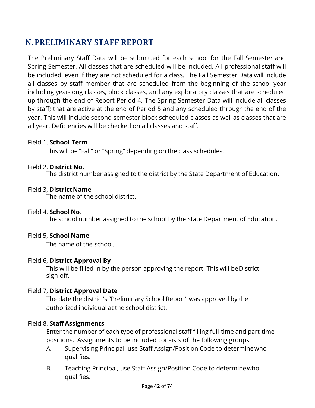# **N.PRELIMINARY STAFF REPORT**

The Preliminary Staff Data will be submitted for each school for the Fall Semester and Spring Semester. All classes that are scheduled will be included. All professional staff will be included, even if they are not scheduled for a class. The Fall Semester Data will include all classes by staff member that are scheduled from the beginning of the school year including year-long classes, block classes, and any exploratory classes that are scheduled up through the end of Report Period 4. The Spring Semester Data will include all classes by staff; that are active at the end of Period 5 and any scheduled through the end of the year. This will include second semester block scheduled classes as well as classes that are all year. Deficiencies will be checked on all classes and staff.

## Field 1, **School Term**

This will be "Fall" or "Spring" depending on the class schedules.

## Field 2, **District No.**

The district number assigned to the district by the State Department of Education.

## Field 3, **DistrictName**

The name of the school district.

## Field 4, **School No**.

The school number assigned to the school by the State Department of Education.

## Field 5, **School Name**

The name of the school.

## Field 6, **District Approval By**

This will be filled in by the person approving the report. This will beDistrict sign-off.

## Field 7, **District Approval Date**

The date the district's "Preliminary School Report" was approved by the authorized individual at the school district.

## Field 8, **StaffAssignments**

Enter the number of each type of professional staff filling full-time and part-time positions. Assignments to be included consists of the following groups:

- A. Supervising Principal, use Staff Assign/Position Code to determinewho qualifies.
- B. Teaching Principal, use Staff Assign/Position Code to determinewho qualifies.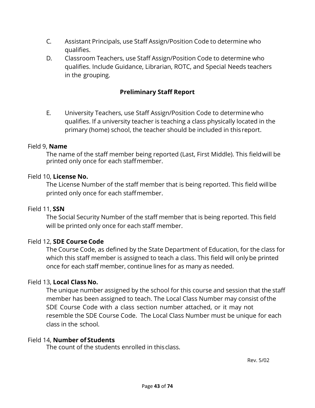- C. Assistant Principals, use Staff Assign/Position Code to determine who qualifies.
- D. Classroom Teachers, use Staff Assign/Position Code to determine who qualifies. Include Guidance, Librarian, ROTC, and Special Needs teachers in the grouping.

## **Preliminary Staff Report**

E. University Teachers, use Staff Assign/Position Code to determine who qualifies. If a university teacher is teaching a class physically located in the primary (home) school, the teacher should be included in this report.

### Field 9, **Name**

The name of the staff member being reported (Last, First Middle). This fieldwill be printed only once for each staffmember.

### Field 10, **License No.**

The License Number of the staff member that is being reported. This field willbe printed only once for each staffmember.

#### Field 11, **SSN**

The Social Security Number of the staff member that is being reported. This field will be printed only once for each staff member.

## Field 12, **SDE Course Code**

The Course Code, as defined by the State Department of Education, for the class for which this staff member is assigned to teach a class. This field will only be printed once for each staff member, continue lines for as many as needed.

#### Field 13, **Local Class No.**

The unique number assigned by the school for this course and session that the staff member has been assigned to teach. The Local Class Number may consist ofthe SDE Course Code with a class section number attached, or it may not resemble the SDE Course Code. The Local Class Number must be unique for each class in the school.

#### Field 14, **Number of Students**

The count of the students enrolled in thisclass.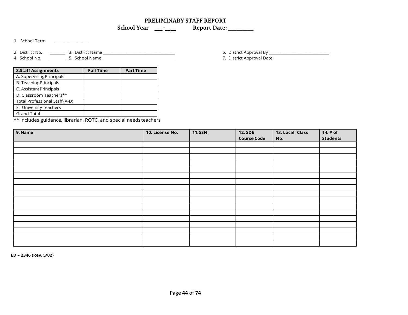#### **PRELIMINARY STAFF REPORT School Year \_\_\_-\_\_\_\_ Report Date: \_\_\_\_\_\_\_\_\_**

1. School Term \_\_\_\_\_\_\_\_\_\_\_\_\_\_\_\_\_

2. District No. \_\_\_\_\_\_\_\_ 3. District Name \_\_\_\_\_\_\_\_\_\_\_\_\_\_\_\_\_\_\_\_\_\_\_\_\_\_\_\_\_\_\_\_\_\_\_\_\_ 6. District Approval By \_\_\_\_\_\_\_\_\_\_\_\_\_\_\_\_\_\_\_\_\_\_\_\_\_\_\_\_\_\_\_ 4. School No. \_\_\_\_\_\_\_\_ 5. School Name \_\_\_\_\_\_\_\_\_\_\_\_\_\_\_\_\_\_\_\_\_\_\_\_\_\_\_\_\_\_\_\_\_\_\_\_\_ 7. District Approval Date \_\_\_\_\_\_\_\_\_\_\_\_\_\_\_\_\_\_\_\_\_

| <b>8.Staff Assignments</b>     | <b>Full Time</b> | <b>Part Time</b> |
|--------------------------------|------------------|------------------|
| A. Supervising Principals      |                  |                  |
| <b>B. Teaching Principals</b>  |                  |                  |
| C. Assistant Principals        |                  |                  |
| D. Classroom Teachers**        |                  |                  |
| Total Professional Staff (A-D) |                  |                  |
| E. University Teachers         |                  |                  |
| <b>Grand Total</b>             |                  |                  |

\*\* Includes guidance, librarian, ROTC, and special needs teachers

**9. Name 10. License No. 11.SSN 12. SDE Course Code 13. Local Class No. 14. # of Students**

**ED – 2346 (Rev. 5/02)**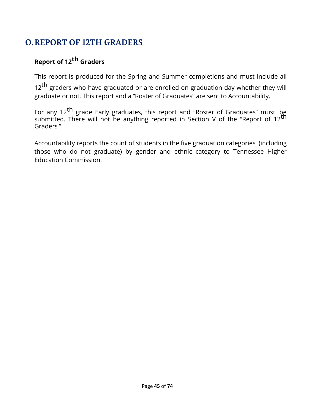# **O.REPORT OF 12TH GRADERS**

# **Report of 12th Graders**

This report is produced for the Spring and Summer completions and must include all

 $12<sup>th</sup>$  graders who have graduated or are enrolled on graduation day whether they will graduate or not. This report and a "Roster of Graduates" are sent to Accountability.

For any 12<sup>th</sup> grade Early graduates, this report and "Roster of Graduates" must be submitted. There will not be anything reported in Section V of the "Report of 12<sup>th"</sup> Graders ".

Accountability reports the count of students in the five graduation categories (including those who do not graduate) by gender and ethnic category to Tennessee Higher Education Commission.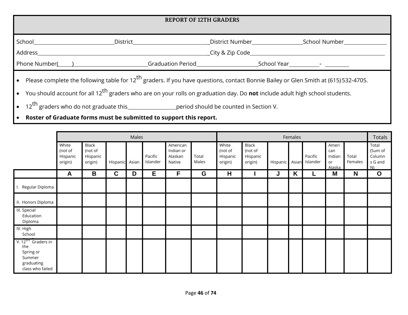| <b>REPORT OF 12TH GRADERS</b>                                                                                                                                                                                                                                                                                                                                                                                                                                                                                                                  |                                   |                                    |  |  |  |  |  |  |
|------------------------------------------------------------------------------------------------------------------------------------------------------------------------------------------------------------------------------------------------------------------------------------------------------------------------------------------------------------------------------------------------------------------------------------------------------------------------------------------------------------------------------------------------|-----------------------------------|------------------------------------|--|--|--|--|--|--|
|                                                                                                                                                                                                                                                                                                                                                                                                                                                                                                                                                | District District District Number | School Number <b>School</b> Number |  |  |  |  |  |  |
|                                                                                                                                                                                                                                                                                                                                                                                                                                                                                                                                                |                                   |                                    |  |  |  |  |  |  |
| • Please complete the following table for 12 <sup>th</sup> graders. If you have questions, contact Bonnie Bailey or Glen Smith at (615) 532-4705.<br>• You should account for all 12 <sup>th</sup> graders who are on your rolls on graduation day. Do <b>not</b> include adult high school students.<br>$\mathsf{f} \mathsf{h}$ and the set of the set of the set of the set of the set of the set of the set of the set of the set of the set of the set of the set of the set of the set of the set of the set of the set of the set of the |                                   |                                    |  |  |  |  |  |  |

- $12^{th}$  graders who do not graduate this \_\_\_\_\_\_\_\_\_\_\_\_\_\_\_\_\_\_\_\_\_period should be counted in Section V.
- **Roster of Graduate forms must be submitted to support this report.**

|                                                                                               | Males                                   |                                         |             |       |                     | Females                                    |                |                                         |                                         |          | <b>Totals</b> |                     |                                        |                  |                                             |
|-----------------------------------------------------------------------------------------------|-----------------------------------------|-----------------------------------------|-------------|-------|---------------------|--------------------------------------------|----------------|-----------------------------------------|-----------------------------------------|----------|---------------|---------------------|----------------------------------------|------------------|---------------------------------------------|
|                                                                                               | White<br>(not of<br>Hispanic<br>origin) | Black<br>(not of<br>Hispanic<br>origin) | Hispanic    | Asian | Pacific<br>Islander | American<br>Indian or<br>Alaskan<br>Native | Total<br>Males | White<br>(not of<br>Hispanic<br>origin) | Black<br>(not of<br>Hispanic<br>origin) | Hispanic | Asian         | Pacific<br>Islander | Ameri<br>can<br>Indian<br>or<br>Alaska | Total<br>Females | Total<br>(Sum of<br>Column<br>s G and<br>N) |
|                                                                                               | A                                       | B                                       | $\mathbf C$ | D     | E.                  | F                                          | G              | H                                       |                                         | J        | K             |                     | M                                      | N                | $\mathbf O$                                 |
| I. Regular Diploma                                                                            |                                         |                                         |             |       |                     |                                            |                |                                         |                                         |          |               |                     |                                        |                  |                                             |
| II. Honors Diploma                                                                            |                                         |                                         |             |       |                     |                                            |                |                                         |                                         |          |               |                     |                                        |                  |                                             |
| III. Special<br>Education<br>Diploma                                                          |                                         |                                         |             |       |                     |                                            |                |                                         |                                         |          |               |                     |                                        |                  |                                             |
| IV. High<br>School                                                                            |                                         |                                         |             |       |                     |                                            |                |                                         |                                         |          |               |                     |                                        |                  |                                             |
| V. 12 <sup>U</sup> Graders in<br>the<br>Spring or<br>Summer<br>graduating<br>class who failed |                                         |                                         |             |       |                     |                                            |                |                                         |                                         |          |               |                     |                                        |                  |                                             |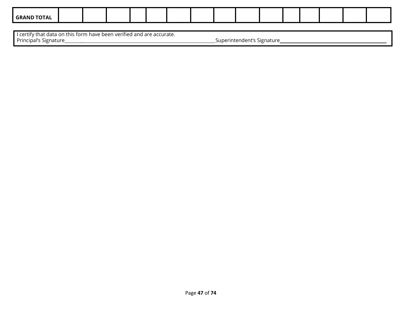| <b>ND TOTAL</b><br><b>GRAN</b> |  |  |  |  |  |  |  |  |
|--------------------------------|--|--|--|--|--|--|--|--|

I certify that data on this form have been verified and are accurate. Principal's Signature \_ Superintendent's Signature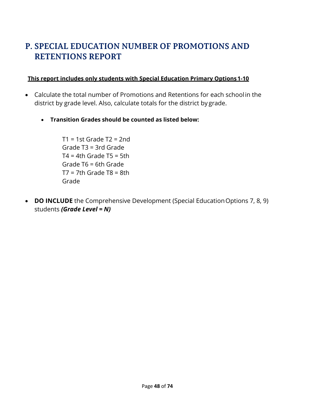# **P. SPECIAL EDUCATION NUMBER OF PROMOTIONS AND RETENTIONS REPORT**

## **This report includes only students with Special Education Primary Options1-10**

- Calculate the total number of Promotions and Retentions for each schoolin the district by grade level. Also, calculate totals for the district by grade.
	- **Transition Grades should be counted as listed below:**

 $T1 = 1$ st Grade T2 = 2nd Grade T3 = 3rd Grade  $T4 = 4th$  Grade T5 = 5th Grade T6 = 6th Grade  $T7 = 7th$  Grade T8 = 8th Grade

• **DO INCLUDE** the Comprehensive Development (Special Education Options 7, 8, 9) students *(Grade Level = N)*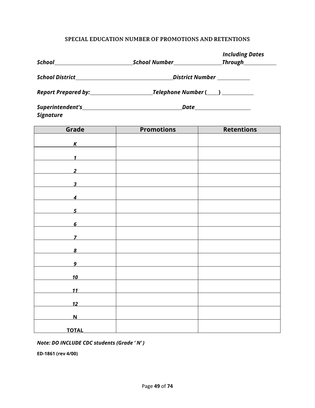### **SPECIAL EDUCATION NUMBER OF PROMOTIONS AND RETENTIONS**

|                            |                           | <b>Including Dates</b> |  |  |  |  |  |
|----------------------------|---------------------------|------------------------|--|--|--|--|--|
|                            |                           |                        |  |  |  |  |  |
|                            |                           |                        |  |  |  |  |  |
|                            |                           |                        |  |  |  |  |  |
| <b>Signature</b>           |                           |                        |  |  |  |  |  |
| Grade                      | <b>Promotions</b>         | <b>Retentions</b>      |  |  |  |  |  |
| $\kappa$                   |                           |                        |  |  |  |  |  |
| $\overline{1}$             |                           |                        |  |  |  |  |  |
| $\overline{\phantom{a}2}$  |                           |                        |  |  |  |  |  |
|                            | $\overline{\phantom{a}3}$ |                        |  |  |  |  |  |
|                            | $\overline{4}$            |                        |  |  |  |  |  |
| $\overline{\phantom{a}}$ 5 |                           |                        |  |  |  |  |  |
| $\overline{6}$             |                           |                        |  |  |  |  |  |
| 7                          |                           |                        |  |  |  |  |  |
| 8                          |                           |                        |  |  |  |  |  |
| 9                          |                           |                        |  |  |  |  |  |
| <u>10</u>                  |                           |                        |  |  |  |  |  |
| 11                         |                           |                        |  |  |  |  |  |
| <u>12</u>                  |                           |                        |  |  |  |  |  |
| $\overline{\mathsf{N}}$    |                           |                        |  |  |  |  |  |
| <b>TOTAL</b>               |                           |                        |  |  |  |  |  |

#### *Note: DO INCLUDE CDC students (Grade ' N' )*

**ED-1861 (rev 4/00)**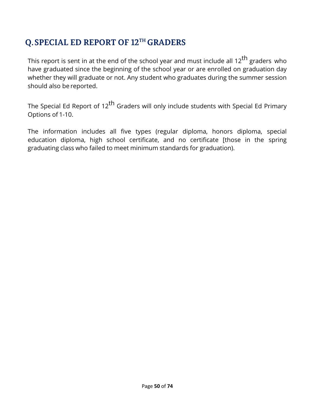# **Q.SPECIAL ED REPORT OF 12TH GRADERS**

This report is sent in at the end of the school year and must include all 12<sup>th</sup> graders who have graduated since the beginning of the school year or are enrolled on graduation day whether they will graduate or not. Any student who graduates during the summer session should also be reported.

The Special Ed Report of 12<sup>th</sup> Graders will only include students with Special Ed Primary Options of 1-10.

The information includes all five types (regular diploma, honors diploma, special education diploma, high school certificate, and no certificate [those in the spring graduating class who failed to meet minimum standards for graduation).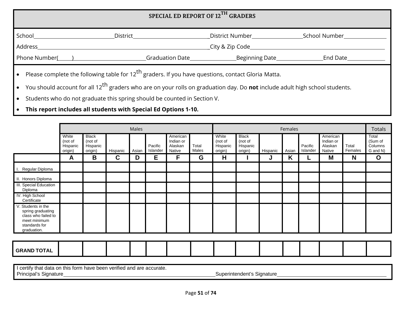| SPECIAL ED REPORT OF 12 <sup>TH</sup> GRADERS                                                                                                                                                                                                            |                                          |                                                                                                                                                                                                                                                                    |                                    |  |  |  |  |  |  |
|----------------------------------------------------------------------------------------------------------------------------------------------------------------------------------------------------------------------------------------------------------|------------------------------------------|--------------------------------------------------------------------------------------------------------------------------------------------------------------------------------------------------------------------------------------------------------------------|------------------------------------|--|--|--|--|--|--|
| School and the control of the control of the control of the control of the control of the control of the control of the control of the control of the control of the control of the control of the control of the control of t<br>Address                | District <b>Exercise Service Service</b> | District Number <b>Exercise Services</b><br>City & Zip Code                                                                                                                                                                                                        | School Number <b>School</b> Number |  |  |  |  |  |  |
| Phone Number( and a set of the set of the set of the set of the set of the set of the set of the set of the set of the set of the set of the set of the set of the set of the set of the set of the set of the set of the set<br>End Date_______________ |                                          |                                                                                                                                                                                                                                                                    |                                    |  |  |  |  |  |  |
|                                                                                                                                                                                                                                                          |                                          | Please complete the following table for 12 <sup>th</sup> graders. If you have questions, contact Gloria Matta.<br>• You should account for all 12 <sup>th</sup> graders who are on your rolls on graduation day. Do <b>not</b> include adult high school students. |                                    |  |  |  |  |  |  |

• Students who do not graduate this spring should be counted in Section V.

• **This report includes all students with Special Ed Options 1-10.**

|                                                                                                                |                                         |                                                |             | Males |                     |                                            |                |                                         |                                                |          | Females |                     |                                            |                  | <b>Totals</b>                           |
|----------------------------------------------------------------------------------------------------------------|-----------------------------------------|------------------------------------------------|-------------|-------|---------------------|--------------------------------------------|----------------|-----------------------------------------|------------------------------------------------|----------|---------|---------------------|--------------------------------------------|------------------|-----------------------------------------|
|                                                                                                                | White<br>(not of<br>Hispanic<br>origin) | <b>Black</b><br>(not of<br>Hispanic<br>origin) | Hispanic    | Asian | Pacific<br>Islander | American<br>Indian or<br>Alaskan<br>Native | Total<br>Males | White<br>(not of<br>Hispanic<br>origin) | <b>Black</b><br>(not of<br>Hispanic<br>origin) | Hispanic | Asian   | Pacific<br>Islander | American<br>Indian or<br>Alaskan<br>Native | Total<br>Females | Total<br>(Sum of<br>Columns<br>G and N) |
|                                                                                                                | A                                       | B                                              | $\mathbf c$ | D     | Е                   | F                                          | G              | H                                       |                                                | J        | K       |                     | M                                          | N                | $\mathbf{o}$                            |
| Regular Diploma<br>H I.                                                                                        |                                         |                                                |             |       |                     |                                            |                |                                         |                                                |          |         |                     |                                            |                  |                                         |
| II. Honors Diploma                                                                                             |                                         |                                                |             |       |                     |                                            |                |                                         |                                                |          |         |                     |                                            |                  |                                         |
| III. Special Education<br>Diploma                                                                              |                                         |                                                |             |       |                     |                                            |                |                                         |                                                |          |         |                     |                                            |                  |                                         |
| IV. High School<br>Certificate                                                                                 |                                         |                                                |             |       |                     |                                            |                |                                         |                                                |          |         |                     |                                            |                  |                                         |
| V. Students in the<br>spring graduating<br>class who failed to<br>meet minimum<br>standards for<br>graduation. |                                         |                                                |             |       |                     |                                            |                |                                         |                                                |          |         |                     |                                            |                  |                                         |
|                                                                                                                |                                         |                                                |             |       |                     |                                            |                |                                         |                                                |          |         |                     |                                            |                  |                                         |
| <b>GRAND TOTAL</b>                                                                                             |                                         |                                                |             |       |                     |                                            |                |                                         |                                                |          |         |                     |                                            |                  |                                         |
| I contificitly do do on this form boys boom verified and are accurate                                          |                                         |                                                |             |       |                     |                                            |                |                                         |                                                |          |         |                     |                                            |                  |                                         |

I certify that data on this form have been verified and are accurate.<br>Principal's Signature

Superintendent's Signature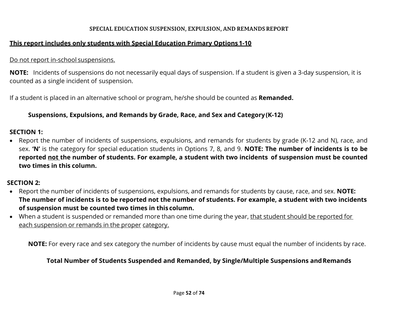#### **SPECIAL EDUCATION SUSPENSION, EXPULSION, AND REMANDSREPORT**

## **This report includes only students with Special Education Primary Options 1-10**

## Do not report in-school suspensions.

**NOTE:** Incidents of suspensions do not necessarily equal days of suspension. If a student is given a 3-day suspension, it is counted as a single incident of suspension.

If a student is placed in an alternative school or program, he/she should be counted as **Remanded.**

## **Suspensions, Expulsions, and Remands by Grade, Race, and Sex and Category(K-12)**

## **SECTION 1:**

• Report the number of incidents of suspensions, expulsions, and remands for students by grade (K-12 and N), race, and sex. **'N'** is the category for special education students in Options 7, 8, and 9. **NOTE: The number of incidents is to be reported not the number of students. For example, a student with two incidents of suspension must be counted two times in this column.**

## **SECTION 2:**

- Report the number of incidents of suspensions, expulsions, and remands for students by cause, race, and sex. **NOTE: The number of incidents is to be reported not the number of students. For example, a student with two incidents of suspension must be counted two times in this column.**
- When a student is suspended or remanded more than one time during the year, that student should be reported for each suspension or remands in the proper category.

**NOTE:** For every race and sex category the number of incidents by cause must equal the number of incidents by race.

## **Total Number of Students Suspended and Remanded, by Single/Multiple Suspensions andRemands**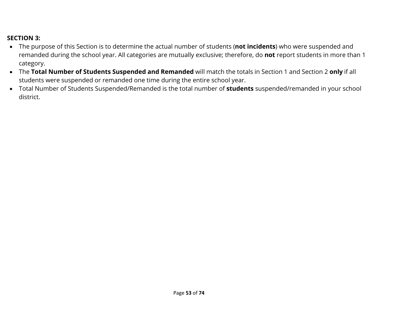# **SECTION 3:**

- The purpose of this Section is to determine the actual number of students (**not incidents**) who were suspended and remanded during the school year. All categories are mutually exclusive; therefore, do **not** report students in more than 1 category.
- The **Total Number of Students Suspended and Remanded** will match the totals in Section 1 and Section 2 **only** if all students were suspended or remanded one time during the entire school year.
- Total Number of Students Suspended/Remanded is the total number of **students** suspended/remanded in your school district.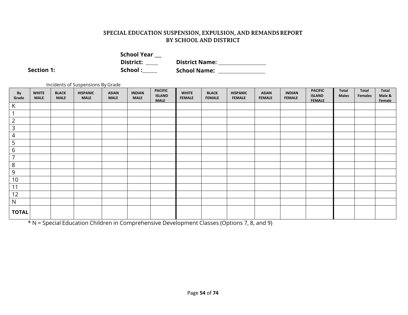| <b>School Year</b> |                       |
|--------------------|-----------------------|
| District:          | <b>District Name:</b> |
| School :           | <b>School Name:</b>   |

**Section 1:** 

Incidents of Suspensions By Grade

| By<br>Grade    | <b>WHITE</b><br><b>MALE</b> | <b>BLACK</b><br><b>MALE</b> | <b>HISPANIC</b><br><b>MALE</b> | <b>ASIAN</b><br><b>MALE</b> | <b>INDIAN</b><br><b>MALE</b> | <b>PACIFIC</b><br><b>ISLAND</b><br><b>MALE</b> | <b>WHITE</b><br><b>FEMALE</b> | <b>BLACK</b><br><b>FEMALE</b> | <b>HISPANIC</b><br><b>FEMALE</b> | <b>ASIAN</b><br><b>FEMALE</b> | <b>INDIAN</b><br><b>FEMALE</b> | <b>PACIFIC</b><br><b>ISLAND</b><br><b>FEMALE</b> | Total<br><b>Males</b> | Total<br>Females | Total<br>Male &<br>Female |
|----------------|-----------------------------|-----------------------------|--------------------------------|-----------------------------|------------------------------|------------------------------------------------|-------------------------------|-------------------------------|----------------------------------|-------------------------------|--------------------------------|--------------------------------------------------|-----------------------|------------------|---------------------------|
| K              |                             |                             |                                |                             |                              |                                                |                               |                               |                                  |                               |                                |                                                  |                       |                  |                           |
| $\overline{ }$ |                             |                             |                                |                             |                              |                                                |                               |                               |                                  |                               |                                |                                                  |                       |                  |                           |
| $\overline{2}$ |                             |                             |                                |                             |                              |                                                |                               |                               |                                  |                               |                                |                                                  |                       |                  |                           |
| 3              |                             |                             |                                |                             |                              |                                                |                               |                               |                                  |                               |                                |                                                  |                       |                  |                           |
| 4              |                             |                             |                                |                             |                              |                                                |                               |                               |                                  |                               |                                |                                                  |                       |                  |                           |
| 5              |                             |                             |                                |                             |                              |                                                |                               |                               |                                  |                               |                                |                                                  |                       |                  |                           |
| 6              |                             |                             |                                |                             |                              |                                                |                               |                               |                                  |                               |                                |                                                  |                       |                  |                           |
| 7              |                             |                             |                                |                             |                              |                                                |                               |                               |                                  |                               |                                |                                                  |                       |                  |                           |
| 8              |                             |                             |                                |                             |                              |                                                |                               |                               |                                  |                               |                                |                                                  |                       |                  |                           |
| 9              |                             |                             |                                |                             |                              |                                                |                               |                               |                                  |                               |                                |                                                  |                       |                  |                           |
| $10$           |                             |                             |                                |                             |                              |                                                |                               |                               |                                  |                               |                                |                                                  |                       |                  |                           |
| $11$           |                             |                             |                                |                             |                              |                                                |                               |                               |                                  |                               |                                |                                                  |                       |                  |                           |
| 12             |                             |                             |                                |                             |                              |                                                |                               |                               |                                  |                               |                                |                                                  |                       |                  |                           |
| ${\sf N}$      |                             |                             |                                |                             |                              |                                                |                               |                               |                                  |                               |                                |                                                  |                       |                  |                           |
| <b>TOTAL</b>   |                             |                             |                                |                             |                              |                                                |                               |                               |                                  |                               |                                |                                                  |                       |                  |                           |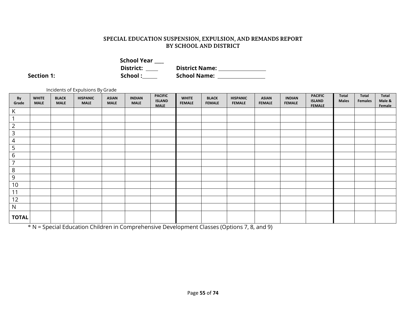**School Year \_\_\_\_ District: District Name: School Name:** 

**Section 1:** 

Incidents of Expulsions By Grade

| By<br>Grade                          | <b>WHITE</b><br><b>MALE</b> | <b>BLACK</b><br><b>MALE</b> | <b>HISPANIC</b><br><b>MALE</b> | <b>ASIAN</b><br><b>MALE</b> | <b>INDIAN</b><br><b>MALE</b> | <b>PACIFIC</b><br><b>ISLAND</b><br><b>MALE</b> | <b>WHITE</b><br><b>FEMALE</b> | <b>BLACK</b><br><b>FEMALE</b> | <b>HISPANIC</b><br><b>FEMALE</b> | <b>ASIAN</b><br><b>FEMALE</b> | <b>INDIAN</b><br><b>FEMALE</b> | <b>PACIFIC</b><br><b>ISLAND</b><br><b>FEMALE</b> | Total<br><b>Males</b> | Total<br><b>Females</b> | Total<br>Male &<br>Female |
|--------------------------------------|-----------------------------|-----------------------------|--------------------------------|-----------------------------|------------------------------|------------------------------------------------|-------------------------------|-------------------------------|----------------------------------|-------------------------------|--------------------------------|--------------------------------------------------|-----------------------|-------------------------|---------------------------|
| $\mathsf{K}$                         |                             |                             |                                |                             |                              |                                                |                               |                               |                                  |                               |                                |                                                  |                       |                         |                           |
| $\mathbf{1}$                         |                             |                             |                                |                             |                              |                                                |                               |                               |                                  |                               |                                |                                                  |                       |                         |                           |
| $\overline{2}$                       |                             |                             |                                |                             |                              |                                                |                               |                               |                                  |                               |                                |                                                  |                       |                         |                           |
| $\overline{\mathbf{3}}$              |                             |                             |                                |                             |                              |                                                |                               |                               |                                  |                               |                                |                                                  |                       |                         |                           |
| $\overline{4}$                       |                             |                             |                                |                             |                              |                                                |                               |                               |                                  |                               |                                |                                                  |                       |                         |                           |
| $\overline{\overline{\overline{5}}}$ |                             |                             |                                |                             |                              |                                                |                               |                               |                                  |                               |                                |                                                  |                       |                         |                           |
| $\overline{6}$                       |                             |                             |                                |                             |                              |                                                |                               |                               |                                  |                               |                                |                                                  |                       |                         |                           |
| $\overline{7}$                       |                             |                             |                                |                             |                              |                                                |                               |                               |                                  |                               |                                |                                                  |                       |                         |                           |
| $\overline{8}$                       |                             |                             |                                |                             |                              |                                                |                               |                               |                                  |                               |                                |                                                  |                       |                         |                           |
| $\overline{9}$                       |                             |                             |                                |                             |                              |                                                |                               |                               |                                  |                               |                                |                                                  |                       |                         |                           |
| 10                                   |                             |                             |                                |                             |                              |                                                |                               |                               |                                  |                               |                                |                                                  |                       |                         |                           |
| 11                                   |                             |                             |                                |                             |                              |                                                |                               |                               |                                  |                               |                                |                                                  |                       |                         |                           |
| 12                                   |                             |                             |                                |                             |                              |                                                |                               |                               |                                  |                               |                                |                                                  |                       |                         |                           |
| ${\sf N}$                            |                             |                             |                                |                             |                              |                                                |                               |                               |                                  |                               |                                |                                                  |                       |                         |                           |
| <b>TOTAL</b>                         |                             |                             |                                |                             |                              |                                                |                               |                               |                                  |                               |                                |                                                  |                       |                         |                           |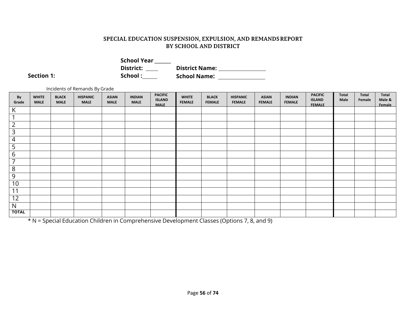| <b>School Year</b> |                       |  |
|--------------------|-----------------------|--|
| District:          | <b>District Name:</b> |  |
| School :           | <b>School Name:</b>   |  |

**Section 1:** 

|                 | Incidents of Remands By Grade |                             |                                |                             |                              |                                                |                               |                               |                                  |                               |                                |                                                  |               |                 |                           |
|-----------------|-------------------------------|-----------------------------|--------------------------------|-----------------------------|------------------------------|------------------------------------------------|-------------------------------|-------------------------------|----------------------------------|-------------------------------|--------------------------------|--------------------------------------------------|---------------|-----------------|---------------------------|
| By<br>Grade     | <b>WHITE</b><br><b>MALE</b>   | <b>BLACK</b><br><b>MALE</b> | <b>HISPANIC</b><br><b>MALE</b> | <b>ASIAN</b><br><b>MALE</b> | <b>INDIAN</b><br><b>MALE</b> | <b>PACIFIC</b><br><b>ISLAND</b><br><b>MALE</b> | <b>WHITE</b><br><b>FEMALE</b> | <b>BLACK</b><br><b>FEMALE</b> | <b>HISPANIC</b><br><b>FEMALE</b> | <b>ASIAN</b><br><b>FEMALE</b> | <b>INDIAN</b><br><b>FEMALE</b> | <b>PACIFIC</b><br><b>ISLAND</b><br><b>FEMALE</b> | Total<br>Male | Total<br>Female | Total<br>Male &<br>Female |
| K               |                               |                             |                                |                             |                              |                                                |                               |                               |                                  |                               |                                |                                                  |               |                 |                           |
| 1               |                               |                             |                                |                             |                              |                                                |                               |                               |                                  |                               |                                |                                                  |               |                 |                           |
| $\frac{2}{3}$   |                               |                             |                                |                             |                              |                                                |                               |                               |                                  |                               |                                |                                                  |               |                 |                           |
|                 |                               |                             |                                |                             |                              |                                                |                               |                               |                                  |                               |                                |                                                  |               |                 |                           |
| 4               |                               |                             |                                |                             |                              |                                                |                               |                               |                                  |                               |                                |                                                  |               |                 |                           |
| $rac{5}{6}$     |                               |                             |                                |                             |                              |                                                |                               |                               |                                  |                               |                                |                                                  |               |                 |                           |
|                 |                               |                             |                                |                             |                              |                                                |                               |                               |                                  |                               |                                |                                                  |               |                 |                           |
| $\overline{7}$  |                               |                             |                                |                             |                              |                                                |                               |                               |                                  |                               |                                |                                                  |               |                 |                           |
| $\overline{8}$  |                               |                             |                                |                             |                              |                                                |                               |                               |                                  |                               |                                |                                                  |               |                 |                           |
| 9               |                               |                             |                                |                             |                              |                                                |                               |                               |                                  |                               |                                |                                                  |               |                 |                           |
| 10              |                               |                             |                                |                             |                              |                                                |                               |                               |                                  |                               |                                |                                                  |               |                 |                           |
| $\overline{11}$ |                               |                             |                                |                             |                              |                                                |                               |                               |                                  |                               |                                |                                                  |               |                 |                           |
| 12              |                               |                             |                                |                             |                              |                                                |                               |                               |                                  |                               |                                |                                                  |               |                 |                           |
| N               |                               |                             |                                |                             |                              |                                                |                               |                               |                                  |                               |                                |                                                  |               |                 |                           |
| <b>TOTAL</b>    |                               |                             |                                |                             |                              |                                                |                               |                               |                                  |                               |                                |                                                  |               |                 |                           |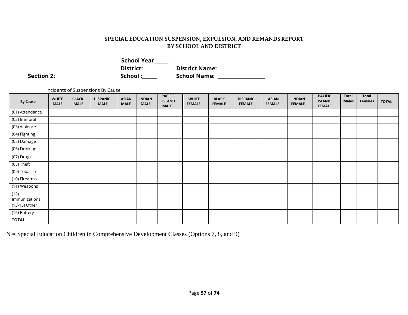| <b>School Year</b> |                       |
|--------------------|-----------------------|
| District:          | <b>District Name:</b> |
| School:            | <b>School Name:</b>   |

**Section 2:** 

Incidents of Suspensions By Cause

| <b>By Cause</b>       | <b>WHITE</b><br><b>MALE</b> | <b>BLACK</b><br><b>MALE</b> | <b>HISPANIC</b><br><b>MALE</b> | <b>ASIAN</b><br><b>MALE</b> | <b>INDIAN</b><br><b>MALE</b> | <b>PACIFIC</b><br><b>ISLAND</b><br><b>MALE</b> | <b>WHITE</b><br><b>FEMALE</b> | <b>BLACK</b><br><b>FEMALE</b> | <b>HISPANIC</b><br><b>FEMALE</b> | <b>ASIAN</b><br><b>FEMALE</b> | <b>INDIAN</b><br><b>FEMALE</b> | <b>PACIFIC</b><br><b>ISLAND</b><br><b>FEMALE</b> | <b>Total</b><br><b>Males</b> | Total<br>Females | <b>TOTAL</b> |
|-----------------------|-----------------------------|-----------------------------|--------------------------------|-----------------------------|------------------------------|------------------------------------------------|-------------------------------|-------------------------------|----------------------------------|-------------------------------|--------------------------------|--------------------------------------------------|------------------------------|------------------|--------------|
| (01) Attendance       |                             |                             |                                |                             |                              |                                                |                               |                               |                                  |                               |                                |                                                  |                              |                  |              |
| (02) Immoral          |                             |                             |                                |                             |                              |                                                |                               |                               |                                  |                               |                                |                                                  |                              |                  |              |
| (03) Violence         |                             |                             |                                |                             |                              |                                                |                               |                               |                                  |                               |                                |                                                  |                              |                  |              |
| (04) Fighting         |                             |                             |                                |                             |                              |                                                |                               |                               |                                  |                               |                                |                                                  |                              |                  |              |
| (05) Damage           |                             |                             |                                |                             |                              |                                                |                               |                               |                                  |                               |                                |                                                  |                              |                  |              |
| (06) Drinking         |                             |                             |                                |                             |                              |                                                |                               |                               |                                  |                               |                                |                                                  |                              |                  |              |
| (07) Drugs            |                             |                             |                                |                             |                              |                                                |                               |                               |                                  |                               |                                |                                                  |                              |                  |              |
| (08) Theft            |                             |                             |                                |                             |                              |                                                |                               |                               |                                  |                               |                                |                                                  |                              |                  |              |
| (09) Tobacco          |                             |                             |                                |                             |                              |                                                |                               |                               |                                  |                               |                                |                                                  |                              |                  |              |
| (10) Firearms         |                             |                             |                                |                             |                              |                                                |                               |                               |                                  |                               |                                |                                                  |                              |                  |              |
| (11) Weapons          |                             |                             |                                |                             |                              |                                                |                               |                               |                                  |                               |                                |                                                  |                              |                  |              |
| (12)<br>Immunizations |                             |                             |                                |                             |                              |                                                |                               |                               |                                  |                               |                                |                                                  |                              |                  |              |
| (13-15) Other         |                             |                             |                                |                             |                              |                                                |                               |                               |                                  |                               |                                |                                                  |                              |                  |              |
| (16) Battery          |                             |                             |                                |                             |                              |                                                |                               |                               |                                  |                               |                                |                                                  |                              |                  |              |
| <b>TOTAL</b>          |                             |                             |                                |                             |                              |                                                |                               |                               |                                  |                               |                                |                                                  |                              |                  |              |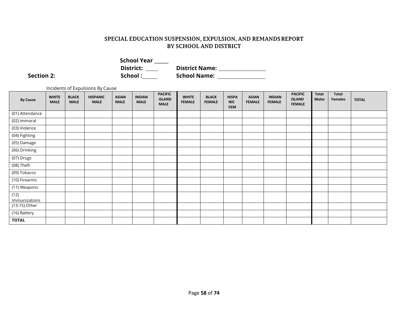| <b>School Year</b> |                       |
|--------------------|-----------------------|
| District:          | <b>District Name:</b> |
| School :           | School Name: __       |

Section 2: Solution 2: Solution 2: Solution 2: Solution 2: Solution 2: Solution 2: Solution 2: Solution 2: Solution 2: Solution 2: Solution 2: Solution 2: Solution 2: Solution 2: Solution 2: Solution 2: Solution 2: Solutio

Incidents of Expulsions By Cause

| <b>By Cause</b>       | <b>WHITE</b><br><b>MALE</b> | <b>BLACK</b><br><b>MALE</b> | <b>HISPANIC</b><br><b>MALE</b> | <b>ASIAN</b><br><b>MALE</b> | <b>INDIAN</b><br><b>MALE</b> | <b>PACIFIC</b><br><b>ISLAND</b><br><b>MALE</b> | <b>WHITE</b><br><b>FEMALE</b> | <b>BLACK</b><br><b>FEMALE</b> | <b>HISPA</b><br><b>NIC</b><br><b>FEM</b> | <b>ASIAN</b><br><b>FEMALE</b> | <b>INDIAN</b><br><b>FEMALE</b> | <b>PACIFIC</b><br><b>ISLAND</b><br><b>FEMALE</b> | <b>Total</b><br><b>Males</b> | <b>Total</b><br>Females | <b>TOTAL</b> |
|-----------------------|-----------------------------|-----------------------------|--------------------------------|-----------------------------|------------------------------|------------------------------------------------|-------------------------------|-------------------------------|------------------------------------------|-------------------------------|--------------------------------|--------------------------------------------------|------------------------------|-------------------------|--------------|
| (01) Attendance       |                             |                             |                                |                             |                              |                                                |                               |                               |                                          |                               |                                |                                                  |                              |                         |              |
| (02) Immoral          |                             |                             |                                |                             |                              |                                                |                               |                               |                                          |                               |                                |                                                  |                              |                         |              |
| (03) Violence         |                             |                             |                                |                             |                              |                                                |                               |                               |                                          |                               |                                |                                                  |                              |                         |              |
| (04) Fighting         |                             |                             |                                |                             |                              |                                                |                               |                               |                                          |                               |                                |                                                  |                              |                         |              |
| (05) Damage           |                             |                             |                                |                             |                              |                                                |                               |                               |                                          |                               |                                |                                                  |                              |                         |              |
| (06) Drinking         |                             |                             |                                |                             |                              |                                                |                               |                               |                                          |                               |                                |                                                  |                              |                         |              |
| (07) Drugs            |                             |                             |                                |                             |                              |                                                |                               |                               |                                          |                               |                                |                                                  |                              |                         |              |
| (08) Theft            |                             |                             |                                |                             |                              |                                                |                               |                               |                                          |                               |                                |                                                  |                              |                         |              |
| (09) Tobacco          |                             |                             |                                |                             |                              |                                                |                               |                               |                                          |                               |                                |                                                  |                              |                         |              |
| (10) Firearms         |                             |                             |                                |                             |                              |                                                |                               |                               |                                          |                               |                                |                                                  |                              |                         |              |
| (11) Weapons          |                             |                             |                                |                             |                              |                                                |                               |                               |                                          |                               |                                |                                                  |                              |                         |              |
| (12)<br>Immunizations |                             |                             |                                |                             |                              |                                                |                               |                               |                                          |                               |                                |                                                  |                              |                         |              |
| (13-15) Other         |                             |                             |                                |                             |                              |                                                |                               |                               |                                          |                               |                                |                                                  |                              |                         |              |
| (16) Battery          |                             |                             |                                |                             |                              |                                                |                               |                               |                                          |                               |                                |                                                  |                              |                         |              |
| <b>TOTAL</b>          |                             |                             |                                |                             |                              |                                                |                               |                               |                                          |                               |                                |                                                  |                              |                         |              |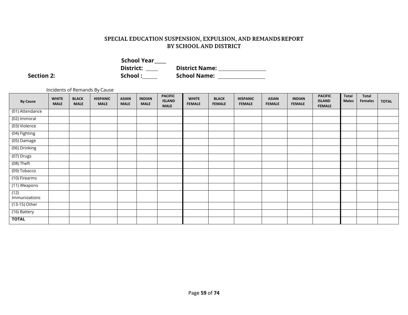| <b>School Year</b> |                       |
|--------------------|-----------------------|
| District:          | <b>District Name:</b> |
| School:            | <b>School Name:</b>   |

**Section 2:** 

Incidents of Remands By Cause

| <b>By Cause</b>       | <b>WHITE</b><br><b>MALE</b> | <b>BLACK</b><br><b>MALE</b> | <b>HISPANIC</b><br><b>MALE</b> | <b>ASIAN</b><br><b>MALE</b> | <b>INDIAN</b><br><b>MALE</b> | <b>PACIFIC</b><br><b>ISLAND</b><br><b>MALE</b> | <b>WHITE</b><br><b>FEMALE</b> | <b>BLACK</b><br><b>FEMALE</b> | <b>HISPANIC</b><br><b>FEMALE</b> | <b>ASIAN</b><br><b>FEMALE</b> | <b>INDIAN</b><br><b>FEMALE</b> | <b>PACIFIC</b><br><b>ISLAND</b><br><b>FEMALE</b> | Total<br><b>Males</b> | Total<br>Females | <b>TOTAL</b> |
|-----------------------|-----------------------------|-----------------------------|--------------------------------|-----------------------------|------------------------------|------------------------------------------------|-------------------------------|-------------------------------|----------------------------------|-------------------------------|--------------------------------|--------------------------------------------------|-----------------------|------------------|--------------|
| (01) Attendance       |                             |                             |                                |                             |                              |                                                |                               |                               |                                  |                               |                                |                                                  |                       |                  |              |
| (02) Immoral          |                             |                             |                                |                             |                              |                                                |                               |                               |                                  |                               |                                |                                                  |                       |                  |              |
| (03) Violence         |                             |                             |                                |                             |                              |                                                |                               |                               |                                  |                               |                                |                                                  |                       |                  |              |
| (04) Fighting         |                             |                             |                                |                             |                              |                                                |                               |                               |                                  |                               |                                |                                                  |                       |                  |              |
| (05) Damage           |                             |                             |                                |                             |                              |                                                |                               |                               |                                  |                               |                                |                                                  |                       |                  |              |
| (06) Drinking         |                             |                             |                                |                             |                              |                                                |                               |                               |                                  |                               |                                |                                                  |                       |                  |              |
| (07) Drugs            |                             |                             |                                |                             |                              |                                                |                               |                               |                                  |                               |                                |                                                  |                       |                  |              |
| (08) Theft            |                             |                             |                                |                             |                              |                                                |                               |                               |                                  |                               |                                |                                                  |                       |                  |              |
| (09) Tobacco          |                             |                             |                                |                             |                              |                                                |                               |                               |                                  |                               |                                |                                                  |                       |                  |              |
| (10) Firearms         |                             |                             |                                |                             |                              |                                                |                               |                               |                                  |                               |                                |                                                  |                       |                  |              |
| (11) Weapons          |                             |                             |                                |                             |                              |                                                |                               |                               |                                  |                               |                                |                                                  |                       |                  |              |
| (12)<br>Immunizations |                             |                             |                                |                             |                              |                                                |                               |                               |                                  |                               |                                |                                                  |                       |                  |              |
| (13-15) Other         |                             |                             |                                |                             |                              |                                                |                               |                               |                                  |                               |                                |                                                  |                       |                  |              |
| (16) Battery          |                             |                             |                                |                             |                              |                                                |                               |                               |                                  |                               |                                |                                                  |                       |                  |              |
| <b>TOTAL</b>          |                             |                             |                                |                             |                              |                                                |                               |                               |                                  |                               |                                |                                                  |                       |                  |              |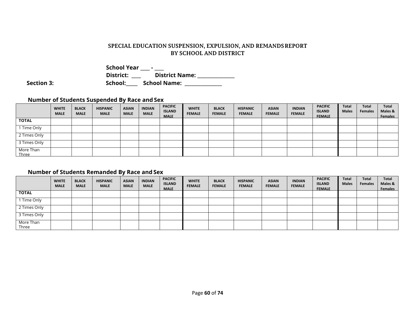|                   | <b>School Year</b> |                       |
|-------------------|--------------------|-----------------------|
|                   | District:          | <b>District Name:</b> |
| <b>Section 3:</b> | School:            | School Name:          |

#### **Number of Students Suspended By Race and Sex**

|                    | <b>WHITE</b><br><b>MALE</b> | <b>BLACK</b><br><b>MALE</b> | <b>HISPANIC</b><br><b>MALE</b> | <b>ASIAN</b><br><b>MALE</b> | <b>INDIAN</b><br><b>MALE</b> | <b>PACIFIC</b><br><b>ISLAND</b><br><b>MALE</b> | <b>WHITE</b><br><b>FEMALE</b> | <b>BLACK</b><br><b>FEMALE</b> | <b>HISPANIC</b><br><b>FEMALE</b> | <b>ASIAN</b><br><b>FEMALE</b> | <b>INDIAN</b><br><b>FEMALE</b> | <b>PACIFIC</b><br><b>ISLAND</b><br><b>FEMALE</b> | <b>Total</b><br><b>Males</b> | <b>Total</b><br><b>Females</b> | <b>Total</b><br>Males &<br><b>Females</b> |
|--------------------|-----------------------------|-----------------------------|--------------------------------|-----------------------------|------------------------------|------------------------------------------------|-------------------------------|-------------------------------|----------------------------------|-------------------------------|--------------------------------|--------------------------------------------------|------------------------------|--------------------------------|-------------------------------------------|
| <b>TOTAL</b>       |                             |                             |                                |                             |                              |                                                |                               |                               |                                  |                               |                                |                                                  |                              |                                |                                           |
| Time Only          |                             |                             |                                |                             |                              |                                                |                               |                               |                                  |                               |                                |                                                  |                              |                                |                                           |
| 2 Times Only       |                             |                             |                                |                             |                              |                                                |                               |                               |                                  |                               |                                |                                                  |                              |                                |                                           |
| 3 Times Only       |                             |                             |                                |                             |                              |                                                |                               |                               |                                  |                               |                                |                                                  |                              |                                |                                           |
| More Than<br>Three |                             |                             |                                |                             |                              |                                                |                               |                               |                                  |                               |                                |                                                  |                              |                                |                                           |

### **Number of Students Remanded By Race and Sex**

|                    | <b>WHITE</b><br><b>MALE</b> | <b>BLACK</b><br><b>MALE</b> | <b>HISPANIC</b><br><b>MALE</b> | <b>ASIAN</b><br><b>MALE</b> | <b>INDIAN</b><br><b>MALE</b> | <b>PACIFIC</b><br><b>ISLAND</b><br><b>MALE</b> | <b>WHITE</b><br><b>FEMALE</b> | <b>BLACK</b><br><b>FEMALE</b> | <b>HISPANIC</b><br><b>FEMALE</b> | <b>ASIAN</b><br><b>FEMALE</b> | <b>INDIAN</b><br><b>FEMALE</b> | <b>PACIFIC</b><br><b>ISLAND</b><br><b>FEMALE</b> | <b>Total</b><br><b>Males</b> | Total<br><b>Females</b> | Total<br>Males &<br><b>Females</b> |
|--------------------|-----------------------------|-----------------------------|--------------------------------|-----------------------------|------------------------------|------------------------------------------------|-------------------------------|-------------------------------|----------------------------------|-------------------------------|--------------------------------|--------------------------------------------------|------------------------------|-------------------------|------------------------------------|
| <b>TOTAL</b>       |                             |                             |                                |                             |                              |                                                |                               |                               |                                  |                               |                                |                                                  |                              |                         |                                    |
| Time Only          |                             |                             |                                |                             |                              |                                                |                               |                               |                                  |                               |                                |                                                  |                              |                         |                                    |
| 2 Times Only       |                             |                             |                                |                             |                              |                                                |                               |                               |                                  |                               |                                |                                                  |                              |                         |                                    |
| 3 Times Only       |                             |                             |                                |                             |                              |                                                |                               |                               |                                  |                               |                                |                                                  |                              |                         |                                    |
| More Than<br>Three |                             |                             |                                |                             |                              |                                                |                               |                               |                                  |                               |                                |                                                  |                              |                         |                                    |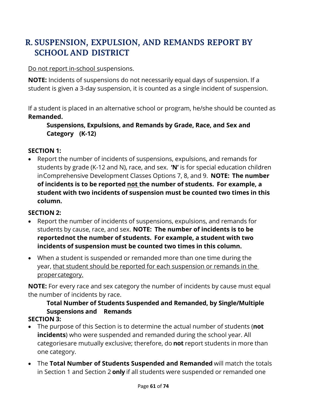## Do not report in-school suspensions.

**NOTE:** Incidents of suspensions do not necessarily equal days of suspension. If a student is given a 3-day suspension, it is counted as a single incident of suspension.

If a student is placed in an alternative school or program, he/she should be counted as **Remanded.**

# **Suspensions, Expulsions, and Remands by Grade, Race, and Sex and Category (K-12)**

## **SECTION 1:**

• Report the number of incidents of suspensions, expulsions, and remands for students by grade (K-12 and N), race, and sex. **'N'** is for special education children inComprehensive Development Classes Options 7, 8, and 9. **NOTE: The number of incidents is to be reported not the number of students. For example, a student with two incidents of suspension must be counted two times in this column.**

## **SECTION 2:**

- Report the number of incidents of suspensions, expulsions, and remands for students by cause, race, and sex. **NOTE: The number of incidents is to be reportednot the number of students. For example, a student with two incidents of suspension must be counted two times in this column.**
- When a student is suspended or remanded more than one time during the year, that student should be reported for each suspension or remands in the propercategory.

**NOTE:** For every race and sex category the number of incidents by cause must equal the number of incidents by race.

#### **Total Number of Students Suspended and Remanded, by Single/Multiple Suspensions and Remands SECTION 3:**

- The purpose of this Section is to determine the actual number of students (**not incidents**) who were suspended and remanded during the school year. All categoriesare mutually exclusive; therefore, do **not** report students in more than one category.
- The **Total Number of Students Suspended and Remanded** will match the totals in Section 1 and Section 2 **only** if all students were suspended or remanded one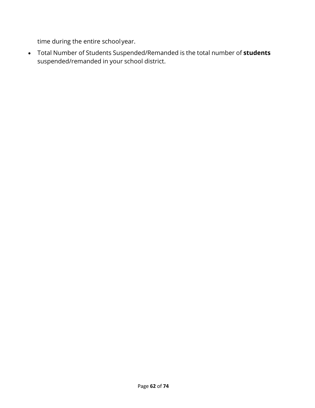time during the entire schoolyear.

• Total Number of Students Suspended/Remanded is the total number of **students** suspended/remanded in your school district.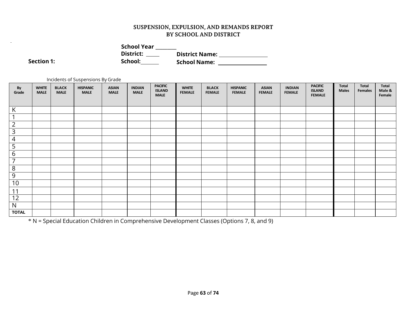| <b>School Year</b> |                       |
|--------------------|-----------------------|
| District:          | <b>District Name:</b> |
| School:            | <b>School Name:</b>   |

**Section 1:** 

Incidents of Suspensions By Grade

| By<br>Grade                    | <b>WHITE</b><br><b>MALE</b> | <b>BLACK</b><br><b>MALE</b> | <b>HISPANIC</b><br><b>MALE</b> | <b>ASIAN</b><br><b>MALE</b> | <b>INDIAN</b><br><b>MALE</b> | <b>PACIFIC</b><br><b>ISLAND</b><br><b>MALE</b> | <b>WHITE</b><br><b>FEMALE</b> | <b>BLACK</b><br><b>FEMALE</b> | <b>HISPANIC</b><br><b>FEMALE</b> | <b>ASIAN</b><br><b>FEMALE</b> | <b>INDIAN</b><br><b>FEMALE</b> | <b>PACIFIC</b><br><b>ISLAND</b><br><b>FEMALE</b> | <b>Total</b><br><b>Males</b> | <b>Total</b><br><b>Females</b> | Total<br>Male &<br>Female |
|--------------------------------|-----------------------------|-----------------------------|--------------------------------|-----------------------------|------------------------------|------------------------------------------------|-------------------------------|-------------------------------|----------------------------------|-------------------------------|--------------------------------|--------------------------------------------------|------------------------------|--------------------------------|---------------------------|
|                                |                             |                             |                                |                             |                              |                                                |                               |                               |                                  |                               |                                |                                                  |                              |                                |                           |
| $\overline{V}$<br>$\mathsf{N}$ |                             |                             |                                |                             |                              |                                                |                               |                               |                                  |                               |                                |                                                  |                              |                                |                           |
| $\overline{ }$                 |                             |                             |                                |                             |                              |                                                |                               |                               |                                  |                               |                                |                                                  |                              |                                |                           |
| $\overline{2}$                 |                             |                             |                                |                             |                              |                                                |                               |                               |                                  |                               |                                |                                                  |                              |                                |                           |
| $\mathsf 3$                    |                             |                             |                                |                             |                              |                                                |                               |                               |                                  |                               |                                |                                                  |                              |                                |                           |
| $\overline{4}$                 |                             |                             |                                |                             |                              |                                                |                               |                               |                                  |                               |                                |                                                  |                              |                                |                           |
| 5                              |                             |                             |                                |                             |                              |                                                |                               |                               |                                  |                               |                                |                                                  |                              |                                |                           |
| 6                              |                             |                             |                                |                             |                              |                                                |                               |                               |                                  |                               |                                |                                                  |                              |                                |                           |
| 7                              |                             |                             |                                |                             |                              |                                                |                               |                               |                                  |                               |                                |                                                  |                              |                                |                           |
| 8                              |                             |                             |                                |                             |                              |                                                |                               |                               |                                  |                               |                                |                                                  |                              |                                |                           |
| 9                              |                             |                             |                                |                             |                              |                                                |                               |                               |                                  |                               |                                |                                                  |                              |                                |                           |
| 10                             |                             |                             |                                |                             |                              |                                                |                               |                               |                                  |                               |                                |                                                  |                              |                                |                           |
| 11                             |                             |                             |                                |                             |                              |                                                |                               |                               |                                  |                               |                                |                                                  |                              |                                |                           |
| $1\overline{2}$                |                             |                             |                                |                             |                              |                                                |                               |                               |                                  |                               |                                |                                                  |                              |                                |                           |
| N                              |                             |                             |                                |                             |                              |                                                |                               |                               |                                  |                               |                                |                                                  |                              |                                |                           |
| <b>TOTAL</b>                   |                             |                             |                                |                             |                              |                                                |                               |                               |                                  |                               |                                |                                                  |                              |                                |                           |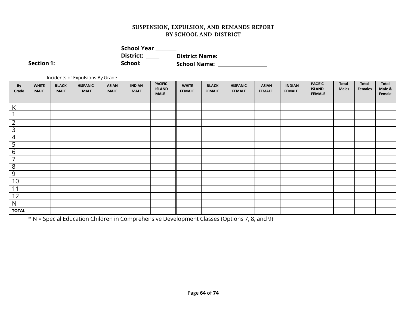| <b>School Year</b> |                       |
|--------------------|-----------------------|
| District:          | <b>District Name:</b> |
| School:            | <b>School Name:</b>   |

**Section 1:** 

Incidents of Expulsions By Grade

| By<br>Grade     | <b>WHITE</b><br><b>MALE</b> | <b>BLACK</b><br><b>MALE</b> | <b>HISPANIC</b><br><b>MALE</b> | <b>ASIAN</b><br><b>MALE</b> | <b>INDIAN</b><br><b>MALE</b> | <b>PACIFIC</b><br><b>ISLAND</b><br><b>MALE</b> | <b>WHITE</b><br><b>FEMALE</b> | <b>BLACK</b><br><b>FEMALE</b> | <b>HISPANIC</b><br><b>FEMALE</b> | <b>ASIAN</b><br><b>FEMALE</b> | <b>INDIAN</b><br><b>FEMALE</b> | <b>PACIFIC</b><br><b>ISLAND</b><br><b>FEMALE</b> | Total<br><b>Males</b> | Total<br>Females | Total<br>Male &<br>Female |
|-----------------|-----------------------------|-----------------------------|--------------------------------|-----------------------------|------------------------------|------------------------------------------------|-------------------------------|-------------------------------|----------------------------------|-------------------------------|--------------------------------|--------------------------------------------------|-----------------------|------------------|---------------------------|
|                 |                             |                             |                                |                             |                              |                                                |                               |                               |                                  |                               |                                |                                                  |                       |                  |                           |
| $\mathsf{K}$    |                             |                             |                                |                             |                              |                                                |                               |                               |                                  |                               |                                |                                                  |                       |                  |                           |
| $\mathbf{1}$    |                             |                             |                                |                             |                              |                                                |                               |                               |                                  |                               |                                |                                                  |                       |                  |                           |
| $\overline{2}$  |                             |                             |                                |                             |                              |                                                |                               |                               |                                  |                               |                                |                                                  |                       |                  |                           |
| $\overline{3}$  |                             |                             |                                |                             |                              |                                                |                               |                               |                                  |                               |                                |                                                  |                       |                  |                           |
| $\overline{4}$  |                             |                             |                                |                             |                              |                                                |                               |                               |                                  |                               |                                |                                                  |                       |                  |                           |
| $\frac{5}{6}$   |                             |                             |                                |                             |                              |                                                |                               |                               |                                  |                               |                                |                                                  |                       |                  |                           |
|                 |                             |                             |                                |                             |                              |                                                |                               |                               |                                  |                               |                                |                                                  |                       |                  |                           |
| $\overline{7}$  |                             |                             |                                |                             |                              |                                                |                               |                               |                                  |                               |                                |                                                  |                       |                  |                           |
| $\overline{8}$  |                             |                             |                                |                             |                              |                                                |                               |                               |                                  |                               |                                |                                                  |                       |                  |                           |
| $\overline{9}$  |                             |                             |                                |                             |                              |                                                |                               |                               |                                  |                               |                                |                                                  |                       |                  |                           |
| 10              |                             |                             |                                |                             |                              |                                                |                               |                               |                                  |                               |                                |                                                  |                       |                  |                           |
| 11              |                             |                             |                                |                             |                              |                                                |                               |                               |                                  |                               |                                |                                                  |                       |                  |                           |
| $\overline{12}$ |                             |                             |                                |                             |                              |                                                |                               |                               |                                  |                               |                                |                                                  |                       |                  |                           |
| N               |                             |                             |                                |                             |                              |                                                |                               |                               |                                  |                               |                                |                                                  |                       |                  |                           |
| <b>TOTAL</b>    |                             |                             |                                |                             |                              |                                                |                               |                               |                                  |                               |                                |                                                  |                       |                  |                           |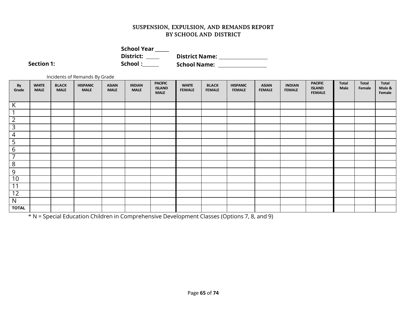| <b>School Year</b> |                       |  |
|--------------------|-----------------------|--|
| District:          | <b>District Name:</b> |  |
| School:            | <b>School Name:</b>   |  |

**Section 1:** Section 1:

Incidents of Remands By Grade

| By<br>Grade             | <b>WHITE</b><br><b>MALE</b> | <b>BLACK</b><br><b>MALE</b> | <b>HISPANIC</b><br><b>MALE</b> | <b>ASIAN</b><br><b>MALE</b> | <b>INDIAN</b><br><b>MALE</b> | <b>PACIFIC</b><br><b>ISLAND</b><br><b>MALE</b> | <b>WHITE</b><br><b>FEMALE</b> | <b>BLACK</b><br><b>FEMALE</b> | <b>HISPANIC</b><br><b>FEMALE</b> | <b>ASIAN</b><br><b>FEMALE</b> | <b>INDIAN</b><br><b>FEMALE</b> | <b>PACIFIC</b><br><b>ISLAND</b><br><b>FEMALE</b> | <b>Total</b><br>Male | <b>Total</b><br>Female | Total<br>Male &<br>Female |
|-------------------------|-----------------------------|-----------------------------|--------------------------------|-----------------------------|------------------------------|------------------------------------------------|-------------------------------|-------------------------------|----------------------------------|-------------------------------|--------------------------------|--------------------------------------------------|----------------------|------------------------|---------------------------|
|                         |                             |                             |                                |                             |                              |                                                |                               |                               |                                  |                               |                                |                                                  |                      |                        |                           |
| K                       |                             |                             |                                |                             |                              |                                                |                               |                               |                                  |                               |                                |                                                  |                      |                        |                           |
| $\overline{ }$          |                             |                             |                                |                             |                              |                                                |                               |                               |                                  |                               |                                |                                                  |                      |                        |                           |
| $\overline{2}$          |                             |                             |                                |                             |                              |                                                |                               |                               |                                  |                               |                                |                                                  |                      |                        |                           |
| $\overline{\mathbf{3}}$ |                             |                             |                                |                             |                              |                                                |                               |                               |                                  |                               |                                |                                                  |                      |                        |                           |
| $\overline{4}$          |                             |                             |                                |                             |                              |                                                |                               |                               |                                  |                               |                                |                                                  |                      |                        |                           |
| 5                       |                             |                             |                                |                             |                              |                                                |                               |                               |                                  |                               |                                |                                                  |                      |                        |                           |
| $6\phantom{1}6$         |                             |                             |                                |                             |                              |                                                |                               |                               |                                  |                               |                                |                                                  |                      |                        |                           |
| $\overline{7}$          |                             |                             |                                |                             |                              |                                                |                               |                               |                                  |                               |                                |                                                  |                      |                        |                           |
| 8                       |                             |                             |                                |                             |                              |                                                |                               |                               |                                  |                               |                                |                                                  |                      |                        |                           |
| 9                       |                             |                             |                                |                             |                              |                                                |                               |                               |                                  |                               |                                |                                                  |                      |                        |                           |
| 10                      |                             |                             |                                |                             |                              |                                                |                               |                               |                                  |                               |                                |                                                  |                      |                        |                           |
| 11                      |                             |                             |                                |                             |                              |                                                |                               |                               |                                  |                               |                                |                                                  |                      |                        |                           |
| $\overline{12}$         |                             |                             |                                |                             |                              |                                                |                               |                               |                                  |                               |                                |                                                  |                      |                        |                           |
| N                       |                             |                             |                                |                             |                              |                                                |                               |                               |                                  |                               |                                |                                                  |                      |                        |                           |
| <b>TOTAL</b>            |                             |                             |                                |                             |                              |                                                |                               |                               |                                  |                               |                                |                                                  |                      |                        |                           |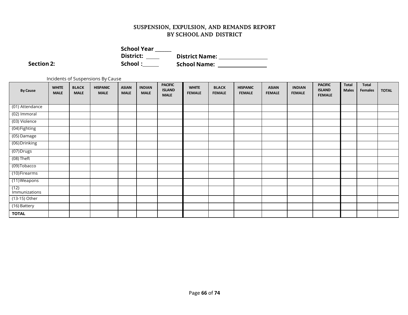| <b>School Year</b> |                       |
|--------------------|-----------------------|
| District:          | <b>District Name:</b> |
| School:            | <b>School Name:</b>   |

 $Section 2:$ 

Incidents of Suspensions By Cause

| <b>By Cause</b>       | <b>WHITE</b><br><b>MALE</b> | <b>BLACK</b><br><b>MALE</b> | <b>HISPANIC</b><br><b>MALE</b> | <b>ASIAN</b><br><b>MALE</b> | <b>INDIAN</b><br><b>MALE</b> | <b>PACIFIC</b><br><b>ISLAND</b><br><b>MALE</b> | <b>WHITE</b><br><b>FEMALE</b> | <b>BLACK</b><br><b>FEMALE</b> | <b>HISPANIC</b><br><b>FEMALE</b> | <b>ASIAN</b><br><b>FEMALE</b> | <b>INDIAN</b><br><b>FEMALE</b> | <b>PACIFIC</b><br><b>ISLAND</b><br><b>FEMALE</b> | <b>Total</b><br><b>Males</b> | <b>Total</b><br><b>Females</b> | <b>TOTAL</b> |
|-----------------------|-----------------------------|-----------------------------|--------------------------------|-----------------------------|------------------------------|------------------------------------------------|-------------------------------|-------------------------------|----------------------------------|-------------------------------|--------------------------------|--------------------------------------------------|------------------------------|--------------------------------|--------------|
| (01) Attendance       |                             |                             |                                |                             |                              |                                                |                               |                               |                                  |                               |                                |                                                  |                              |                                |              |
| (02) Immoral          |                             |                             |                                |                             |                              |                                                |                               |                               |                                  |                               |                                |                                                  |                              |                                |              |
| (03) Violence         |                             |                             |                                |                             |                              |                                                |                               |                               |                                  |                               |                                |                                                  |                              |                                |              |
| (04) Fighting         |                             |                             |                                |                             |                              |                                                |                               |                               |                                  |                               |                                |                                                  |                              |                                |              |
| (05) Damage           |                             |                             |                                |                             |                              |                                                |                               |                               |                                  |                               |                                |                                                  |                              |                                |              |
| (06) Drinking         |                             |                             |                                |                             |                              |                                                |                               |                               |                                  |                               |                                |                                                  |                              |                                |              |
| (07) Drugs            |                             |                             |                                |                             |                              |                                                |                               |                               |                                  |                               |                                |                                                  |                              |                                |              |
| (08) Theft            |                             |                             |                                |                             |                              |                                                |                               |                               |                                  |                               |                                |                                                  |                              |                                |              |
| (09) Tobacco          |                             |                             |                                |                             |                              |                                                |                               |                               |                                  |                               |                                |                                                  |                              |                                |              |
| (10) Firearms         |                             |                             |                                |                             |                              |                                                |                               |                               |                                  |                               |                                |                                                  |                              |                                |              |
| (11) Weapons          |                             |                             |                                |                             |                              |                                                |                               |                               |                                  |                               |                                |                                                  |                              |                                |              |
| (12)<br>Immunizations |                             |                             |                                |                             |                              |                                                |                               |                               |                                  |                               |                                |                                                  |                              |                                |              |
| (13-15) Other         |                             |                             |                                |                             |                              |                                                |                               |                               |                                  |                               |                                |                                                  |                              |                                |              |
| (16) Battery          |                             |                             |                                |                             |                              |                                                |                               |                               |                                  |                               |                                |                                                  |                              |                                |              |
| <b>TOTAL</b>          |                             |                             |                                |                             |                              |                                                |                               |                               |                                  |                               |                                |                                                  |                              |                                |              |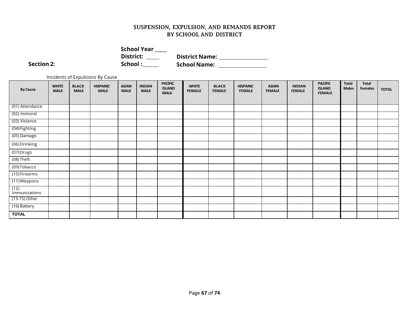| <b>School Year</b> |                       |
|--------------------|-----------------------|
| District:          | <b>District Name:</b> |
| School:            | <b>School Name:</b>   |

 $Section 2:$ 

Incidents of Expulsions By Cause

| <b>By Cause</b>       | <b>WHITE</b><br><b>MALE</b> | <b>BLACK</b><br><b>MALE</b> | <b>HISPANIC</b><br><b>MALE</b> | <b>ASIAN</b><br><b>MALE</b> | <b>INDIAN</b><br><b>MALE</b> | <b>PACIFIC</b><br><b>ISLAND</b><br><b>MALE</b> | <b>WHITE</b><br><b>FEMALE</b> | <b>BLACK</b><br><b>FEMALE</b> | <b>HISPANIC</b><br><b>FEMALE</b> | <b>ASIAN</b><br><b>FEMALE</b> | <b>INDIAN</b><br><b>FEMALE</b> | <b>PACIFIC</b><br><b>ISLAND</b><br><b>FEMALE</b> | <b>Total</b><br><b>Males</b> | <b>Total</b><br><b>Females</b> | <b>TOTAL</b> |
|-----------------------|-----------------------------|-----------------------------|--------------------------------|-----------------------------|------------------------------|------------------------------------------------|-------------------------------|-------------------------------|----------------------------------|-------------------------------|--------------------------------|--------------------------------------------------|------------------------------|--------------------------------|--------------|
| (01) Attendance       |                             |                             |                                |                             |                              |                                                |                               |                               |                                  |                               |                                |                                                  |                              |                                |              |
| (02) Immoral          |                             |                             |                                |                             |                              |                                                |                               |                               |                                  |                               |                                |                                                  |                              |                                |              |
| (03) Violence         |                             |                             |                                |                             |                              |                                                |                               |                               |                                  |                               |                                |                                                  |                              |                                |              |
|                       |                             |                             |                                |                             |                              |                                                |                               |                               |                                  |                               |                                |                                                  |                              |                                |              |
| (04) Fighting         |                             |                             |                                |                             |                              |                                                |                               |                               |                                  |                               |                                |                                                  |                              |                                |              |
| (05) Damage           |                             |                             |                                |                             |                              |                                                |                               |                               |                                  |                               |                                |                                                  |                              |                                |              |
| (06) Drinking         |                             |                             |                                |                             |                              |                                                |                               |                               |                                  |                               |                                |                                                  |                              |                                |              |
| (07) Drugs            |                             |                             |                                |                             |                              |                                                |                               |                               |                                  |                               |                                |                                                  |                              |                                |              |
| (08) Theft            |                             |                             |                                |                             |                              |                                                |                               |                               |                                  |                               |                                |                                                  |                              |                                |              |
| (09) Tobacco          |                             |                             |                                |                             |                              |                                                |                               |                               |                                  |                               |                                |                                                  |                              |                                |              |
| (10) Firearms         |                             |                             |                                |                             |                              |                                                |                               |                               |                                  |                               |                                |                                                  |                              |                                |              |
| (11) Weapons          |                             |                             |                                |                             |                              |                                                |                               |                               |                                  |                               |                                |                                                  |                              |                                |              |
| (12)<br>Immunizations |                             |                             |                                |                             |                              |                                                |                               |                               |                                  |                               |                                |                                                  |                              |                                |              |
| (13-15) Other         |                             |                             |                                |                             |                              |                                                |                               |                               |                                  |                               |                                |                                                  |                              |                                |              |
| (16) Battery          |                             |                             |                                |                             |                              |                                                |                               |                               |                                  |                               |                                |                                                  |                              |                                |              |
| <b>TOTAL</b>          |                             |                             |                                |                             |                              |                                                |                               |                               |                                  |                               |                                |                                                  |                              |                                |              |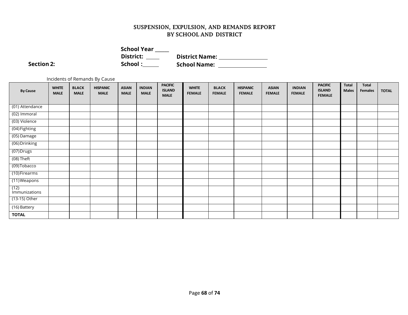| <b>School Year</b> |                       |  |
|--------------------|-----------------------|--|
| District:          | <b>District Name:</b> |  |
| School:            | <b>School Name:</b>   |  |

**Section 2:** 

Incidents of Remands By Cause

| <b>By Cause</b>       | <b>WHITE</b><br><b>MALE</b> | <b>BLACK</b><br><b>MALE</b> | <b>HISPANIC</b><br><b>MALE</b> | <b>ASIAN</b><br><b>MALE</b> | <b>INDIAN</b><br><b>MALE</b> | <b>PACIFIC</b><br><b>ISLAND</b><br><b>MALE</b> | <b>WHITE</b><br><b>FEMALE</b> | <b>BLACK</b><br><b>FEMALE</b> | <b>HISPANIC</b><br><b>FEMALE</b> | <b>ASIAN</b><br><b>FEMALE</b> | <b>INDIAN</b><br><b>FEMALE</b> | <b>PACIFIC</b><br><b>ISLAND</b><br><b>FEMALE</b> | <b>Total</b><br><b>Males</b> | <b>Total</b><br><b>Females</b> | <b>TOTAL</b> |
|-----------------------|-----------------------------|-----------------------------|--------------------------------|-----------------------------|------------------------------|------------------------------------------------|-------------------------------|-------------------------------|----------------------------------|-------------------------------|--------------------------------|--------------------------------------------------|------------------------------|--------------------------------|--------------|
|                       |                             |                             |                                |                             |                              |                                                |                               |                               |                                  |                               |                                |                                                  |                              |                                |              |
| (01) Attendance       |                             |                             |                                |                             |                              |                                                |                               |                               |                                  |                               |                                |                                                  |                              |                                |              |
| (02) Immoral          |                             |                             |                                |                             |                              |                                                |                               |                               |                                  |                               |                                |                                                  |                              |                                |              |
| (03) Violence         |                             |                             |                                |                             |                              |                                                |                               |                               |                                  |                               |                                |                                                  |                              |                                |              |
| (04) Fighting         |                             |                             |                                |                             |                              |                                                |                               |                               |                                  |                               |                                |                                                  |                              |                                |              |
| (05) Damage           |                             |                             |                                |                             |                              |                                                |                               |                               |                                  |                               |                                |                                                  |                              |                                |              |
| (06) Drinking         |                             |                             |                                |                             |                              |                                                |                               |                               |                                  |                               |                                |                                                  |                              |                                |              |
| (07) Drugs            |                             |                             |                                |                             |                              |                                                |                               |                               |                                  |                               |                                |                                                  |                              |                                |              |
| $(08)$ Theft          |                             |                             |                                |                             |                              |                                                |                               |                               |                                  |                               |                                |                                                  |                              |                                |              |
| (09) Tobacco          |                             |                             |                                |                             |                              |                                                |                               |                               |                                  |                               |                                |                                                  |                              |                                |              |
| (10) Firearms         |                             |                             |                                |                             |                              |                                                |                               |                               |                                  |                               |                                |                                                  |                              |                                |              |
| (11) Weapons          |                             |                             |                                |                             |                              |                                                |                               |                               |                                  |                               |                                |                                                  |                              |                                |              |
| (12)<br>Immunizations |                             |                             |                                |                             |                              |                                                |                               |                               |                                  |                               |                                |                                                  |                              |                                |              |
| (13-15) Other         |                             |                             |                                |                             |                              |                                                |                               |                               |                                  |                               |                                |                                                  |                              |                                |              |
| (16) Battery          |                             |                             |                                |                             |                              |                                                |                               |                               |                                  |                               |                                |                                                  |                              |                                |              |
| <b>TOTAL</b>          |                             |                             |                                |                             |                              |                                                |                               |                               |                                  |                               |                                |                                                  |                              |                                |              |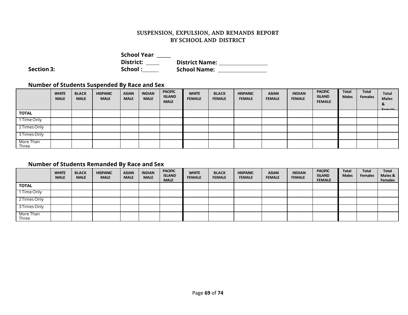|                   | <b>School Year</b> |                       |  |
|-------------------|--------------------|-----------------------|--|
|                   | District:          | <b>District Name:</b> |  |
| <b>Section 3:</b> | School:            | <b>School Name:</b>   |  |

## **Number of Students Suspended By Race and Sex**

|                    | <b>WHITE</b><br><b>MALE</b> | <b>BLACK</b><br><b>MALE</b> | <b>HISPANIC</b><br><b>MALE</b> | <b>ASIAN</b><br><b>MALE</b> | <b>INDIAN</b><br><b>MALE</b> | <b>PACIFIC</b><br><b>ISLAND</b><br><b>MALE</b> | <b>WHITE</b><br><b>FEMALE</b> | <b>BLACK</b><br><b>FEMALE</b> | <b>HISPANIC</b><br><b>FEMALE</b> | <b>ASIAN</b><br><b>FEMALE</b> | <b>INDIAN</b><br><b>FEMALE</b> | <b>PACIFIC</b><br><b>ISLAND</b><br><b>FEMALE</b> | <b>Total</b><br><b>Males</b> | Total<br><b>Females</b> | Total<br><b>Males</b><br>8.<br><b>Eamala</b> |
|--------------------|-----------------------------|-----------------------------|--------------------------------|-----------------------------|------------------------------|------------------------------------------------|-------------------------------|-------------------------------|----------------------------------|-------------------------------|--------------------------------|--------------------------------------------------|------------------------------|-------------------------|----------------------------------------------|
| <b>TOTAL</b>       |                             |                             |                                |                             |                              |                                                |                               |                               |                                  |                               |                                |                                                  |                              |                         |                                              |
| 1 Time Only        |                             |                             |                                |                             |                              |                                                |                               |                               |                                  |                               |                                |                                                  |                              |                         |                                              |
| 2 Times Only       |                             |                             |                                |                             |                              |                                                |                               |                               |                                  |                               |                                |                                                  |                              |                         |                                              |
| 3 Times Only       |                             |                             |                                |                             |                              |                                                |                               |                               |                                  |                               |                                |                                                  |                              |                         |                                              |
| More Than<br>Three |                             |                             |                                |                             |                              |                                                |                               |                               |                                  |                               |                                |                                                  |                              |                         |                                              |

## **Number of Students Remanded By Race and Sex**

|                    | <b>WHITE</b><br><b>MALE</b> | <b>BLACK</b><br><b>MALE</b> | <b>HISPANIC</b><br><b>MALE</b> | <b>ASIAN</b><br><b>MALE</b> | <b>INDIAN</b><br><b>MALE</b> | <b>PACIFIC</b><br><b>ISLAND</b><br><b>MALE</b> | <b>WHITE</b><br><b>FEMALE</b> | <b>BLACK</b><br><b>FEMALE</b> | <b>HISPANIC</b><br><b>FEMALE</b> | <b>ASIAN</b><br><b>FEMALE</b> | <b>INDIAN</b><br><b>FEMALE</b> | <b>PACIFIC</b><br><b>ISLAND</b><br><b>FEMALE</b> | <b>Total</b><br><b>Males</b> | <b>Total</b><br><b>Females</b> | Total<br>Males &<br><b>Females</b> |
|--------------------|-----------------------------|-----------------------------|--------------------------------|-----------------------------|------------------------------|------------------------------------------------|-------------------------------|-------------------------------|----------------------------------|-------------------------------|--------------------------------|--------------------------------------------------|------------------------------|--------------------------------|------------------------------------|
| <b>TOTAL</b>       |                             |                             |                                |                             |                              |                                                |                               |                               |                                  |                               |                                |                                                  |                              |                                |                                    |
| 1 Time Only        |                             |                             |                                |                             |                              |                                                |                               |                               |                                  |                               |                                |                                                  |                              |                                |                                    |
| 2 Times Only       |                             |                             |                                |                             |                              |                                                |                               |                               |                                  |                               |                                |                                                  |                              |                                |                                    |
| 3 Times Only       |                             |                             |                                |                             |                              |                                                |                               |                               |                                  |                               |                                |                                                  |                              |                                |                                    |
| More Than<br>Three |                             |                             |                                |                             |                              |                                                |                               |                               |                                  |                               |                                |                                                  |                              |                                |                                    |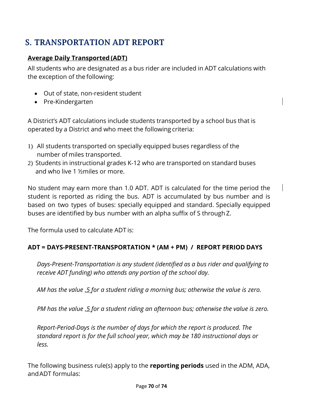# **S. TRANSPORTATION ADT REPORT**

## **Average Daily Transported (ADT)**

All students who are designated as a bus rider are included in ADT calculations with the exception of the following:

- Out of state, non-resident student
- Pre-Kindergarten

A District's ADT calculations include students transported by a school bus that is operated by a District and who meet the following criteria:

- 1) All students transported on specially equipped buses regardless of the number of miles transported.
- 2) Students in instructional grades K-12 who are transported on standard buses and who live 1 ½miles or more.

No student may earn more than 1.0 ADT. ADT is calculated for the time period the student is reported as riding the bus. ADT is accumulated by bus number and is based on two types of buses: specially equipped and standard. Specially equipped buses are identified by bus number with an alpha suffix of S through Z.

The formula used to calculate ADT is:

## **ADT = DAYS-PRESENT-TRANSPORTATION \* (AM + PM) / REPORT PERIOD DAYS**

*Days-Present-Transportation is any student (identified as a bus rider and qualifying to receive ADT funding) who attends any portion of the school day.*

AM has the value .5 for a student riding a morning bus; otherwise the value is zero.

*PM has the value .5 for a student riding an afternoon bus; otherwise the value is zero.*

*Report-Period-Days is the number of days for which the report is produced. The standard report is for the full school year, which may be 180 instructional days or less.*

The following business rule(s) apply to the **reporting periods** used in the ADM, ADA, andADT formulas: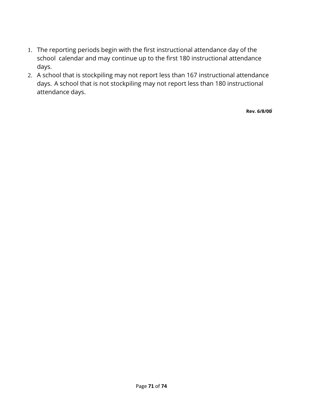- 1. The reporting periods begin with the first instructional attendance day of the school calendar and may continue up to the first 180 instructional attendance days.
- 2. A school that is stockpiling may not report less than 167 instructional attendance days. A school that is not stockpiling may not report less than 180 instructional attendance days.

**Rev. 6/8/00**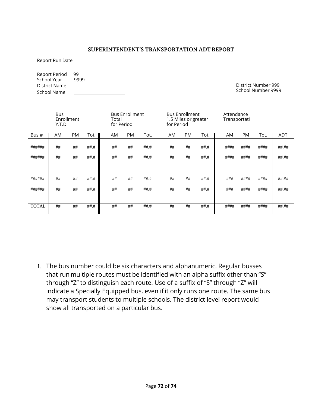#### **SUPERINTENDENT'S TRANSPORTATION ADT REPORT**

Report Run Date

Report Period 99<br>School Year 9999 School Year District Name School Name

District Number 999 School Number 9999

|              | <b>Bus</b><br>Enrollment<br>Y.T.D. |           |      |     | <b>Bus Enrollment</b><br>Total<br>for Period |      |    | <b>Bus Enrollment</b><br>1.5 Miles or greater<br>for Period |        | Attendance<br>Transportati |      |      |            |
|--------------|------------------------------------|-----------|------|-----|----------------------------------------------|------|----|-------------------------------------------------------------|--------|----------------------------|------|------|------------|
| Bus #        | AM                                 | <b>PM</b> | Tot. | AM. | <b>PM</b>                                    | Tot. | AM | <b>PM</b>                                                   | Tot.   | AM                         | PM   | Tot. | <b>ADT</b> |
| ######       | ##                                 | ##        | ##.# | ##  | ##                                           | ##.# | ## | ##                                                          | $##.+$ | ####                       | #### | #### | ##.##      |
| ######       | ##                                 | ##        | ##.# | ##  | ##                                           | ##.# | ## | ##                                                          | $##.+$ | ####                       | #### | #### | ##.##      |
|              |                                    |           |      |     |                                              |      |    |                                                             |        |                            |      |      |            |
| ######       | ##                                 | ##        | ##.# | ##  | ##                                           | ##.# | ## | ##                                                          | $##.+$ | ###                        | #### | #### | ##.##      |
| ######       | ##                                 | ##        | ##.# | ##  | ##                                           | ##.# | ## | ##                                                          | $##.+$ | ###                        | #### | #### | ##.##      |
|              |                                    |           |      |     |                                              |      |    |                                                             |        |                            |      |      |            |
| <b>TOTAL</b> | ##                                 | ##        | ##.# | ##  | ##                                           | ##.# | ## | ##                                                          | $##.+$ | ####                       | #### | #### | ##.##      |
|              |                                    |           |      |     |                                              |      |    |                                                             |        |                            |      |      |            |

1. The bus number could be six characters and alphanumeric. Regular busses that run multiple routes must be identified with an alpha suffix other than "S" through "Z" to distinguish each route. Use of a suffix of "S" through "Z" will indicate a Specially Equipped bus, even if it only runs one route. The same bus may transport students to multiple schools. The district level report would show all transported on a particular bus.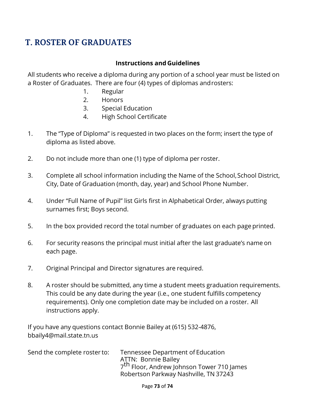## **T. ROSTER OF GRADUATES**

## **Instructions and Guidelines**

All students who receive a diploma during any portion of a school year must be listed on a Roster of Graduates. There are four (4) types of diplomas androsters:

- 1. Regular
- 2. Honors
- 3. Special Education
- 4. High School Certificate
- 1. The "Type of Diploma" is requested in two places on the form; insert the type of diploma as listed above.
- 2. Do not include more than one (1) type of diploma per roster.
- 3. Complete all school information including the Name of the School,School District, City, Date of Graduation (month, day, year) and School Phone Number.
- 4. Under "Full Name of Pupil" list Girls first in Alphabetical Order, always putting surnames first; Boys second.
- 5. In the box provided record the total number of graduates on each page printed.
- 6. For security reasons the principal must initial after the last graduate's name on each page.
- 7. Original Principal and Director signatures are required.
- 8. A roster should be submitted, any time a student meets graduation requirements. This could be any date during the year (i.e., one student fulfills competency requirements). Only one completion date may be included on a roster. All instructions apply.

If you have any questions contact Bonnie Bailey at (615) 532-4876, [bbaily4@mail.state.tn.us](mailto:bbaily4@mail.state.tn.us)

| Send the complete roster to: | Tennessee Department of Education                     |
|------------------------------|-------------------------------------------------------|
|                              | ATTN: Bonnie Bailey                                   |
|                              | 7 <sup>th</sup> Floor, Andrew Johnson Tower 710 James |
|                              | Robertson Parkway Nashville, TN 37243                 |